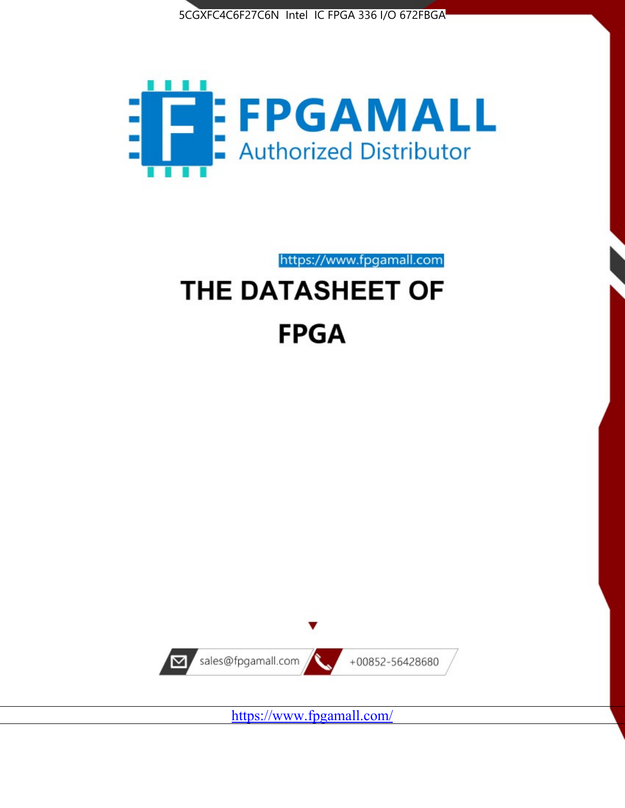



# https://www.fpgamall.com THE DATASHEET OF **FPGA**



<https://www.fpgamall.com/>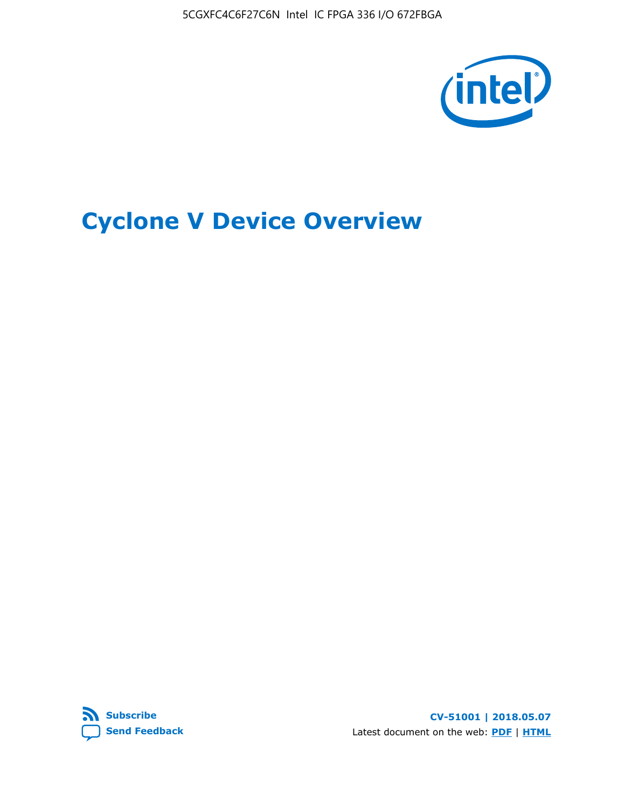5CGXFC4C6F27C6N Intel IC FPGA 336 I/O 672FBGA



# **Cyclone V Device Overview**



**CV-51001 | 2018.05.07** Latest document on the web: **[PDF](https://www.altera.com/en_US/pdfs/literature/hb/cyclone-v/cv_51001.pdf)** | **[HTML](https://www.altera.com/documentation/sam1403480548153.html)**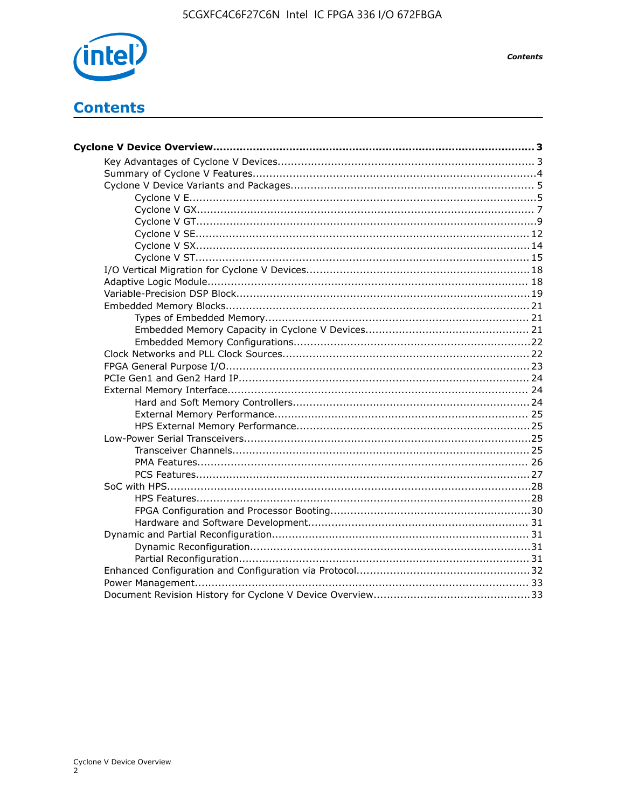

**Contents** 

# **Contents**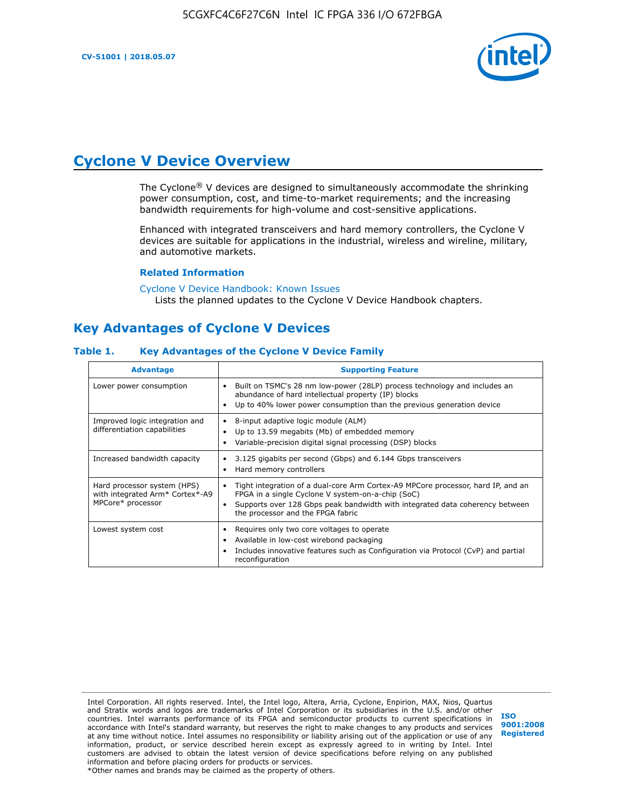

# **Cyclone V Device Overview**

The Cyclone® V devices are designed to simultaneously accommodate the shrinking power consumption, cost, and time-to-market requirements; and the increasing bandwidth requirements for high-volume and cost-sensitive applications.

Enhanced with integrated transceivers and hard memory controllers, the Cyclone V devices are suitable for applications in the industrial, wireless and wireline, military, and automotive markets.

#### **Related Information**

[Cyclone V Device Handbook: Known Issues](https://www.altera.com/support/support-resources/knowledge-base/solutions/rd12152011_347.html) Lists the planned updates to the Cyclone V Device Handbook chapters.

# **Key Advantages of Cyclone V Devices**

#### **Table 1. Key Advantages of the Cyclone V Device Family**

| <b>Advantage</b>                                                                    | <b>Supporting Feature</b>                                                                                                                                                                                                                                                    |
|-------------------------------------------------------------------------------------|------------------------------------------------------------------------------------------------------------------------------------------------------------------------------------------------------------------------------------------------------------------------------|
| Lower power consumption                                                             | Built on TSMC's 28 nm low-power (28LP) process technology and includes an<br>$\bullet$<br>abundance of hard intellectual property (IP) blocks<br>Up to 40% lower power consumption than the previous generation device                                                       |
| Improved logic integration and<br>differentiation capabilities                      | 8-input adaptive logic module (ALM)<br>٠<br>Up to 13.59 megabits (Mb) of embedded memory<br>٠<br>Variable-precision digital signal processing (DSP) blocks                                                                                                                   |
| Increased bandwidth capacity                                                        | 3.125 gigabits per second (Gbps) and 6.144 Gbps transceivers<br>٠<br>Hard memory controllers<br>٠                                                                                                                                                                            |
| Hard processor system (HPS)<br>with integrated Arm* Cortex*-A9<br>MPCore* processor | Tight integration of a dual-core Arm Cortex-A9 MPCore processor, hard IP, and an<br>$\bullet$<br>FPGA in a single Cyclone V system-on-a-chip (SoC)<br>Supports over 128 Gbps peak bandwidth with integrated data coherency between<br>٠<br>the processor and the FPGA fabric |
| Lowest system cost                                                                  | Requires only two core voltages to operate<br>٠<br>Available in low-cost wirebond packaging<br>٠<br>Includes innovative features such as Configuration via Protocol (CvP) and partial<br>٠<br>reconfiguration                                                                |

Intel Corporation. All rights reserved. Intel, the Intel logo, Altera, Arria, Cyclone, Enpirion, MAX, Nios, Quartus and Stratix words and logos are trademarks of Intel Corporation or its subsidiaries in the U.S. and/or other countries. Intel warrants performance of its FPGA and semiconductor products to current specifications in accordance with Intel's standard warranty, but reserves the right to make changes to any products and services at any time without notice. Intel assumes no responsibility or liability arising out of the application or use of any information, product, or service described herein except as expressly agreed to in writing by Intel. Intel customers are advised to obtain the latest version of device specifications before relying on any published information and before placing orders for products or services. \*Other names and brands may be claimed as the property of others.

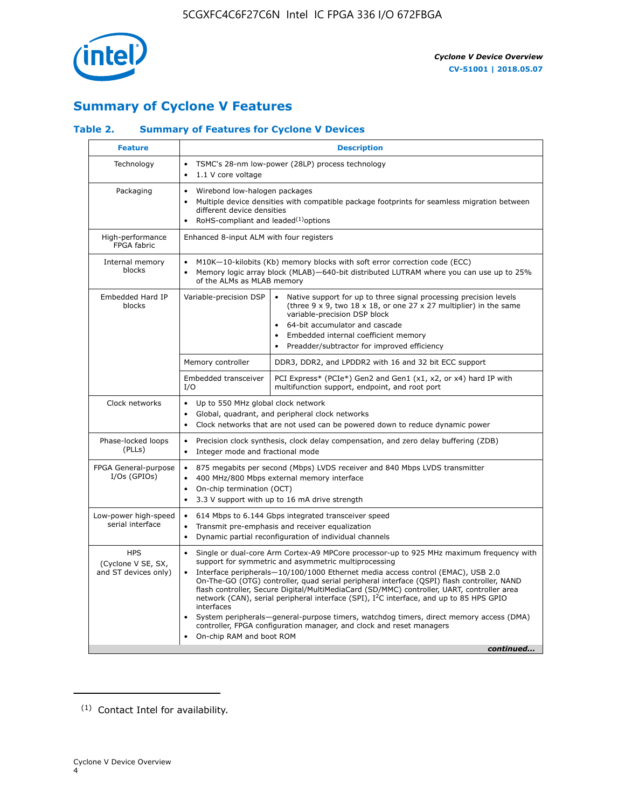

# **Summary of Cyclone V Features**

## **Table 2. Summary of Features for Cyclone V Devices**

| <b>Feature</b>                                           | <b>Description</b>                                                                                                                                                                                                                                                                                                                        |                                                                                                                                                                                                                                                                                                                                                                                                                                                                                                                                                                                                                                                                                                         |  |  |  |  |  |  |  |
|----------------------------------------------------------|-------------------------------------------------------------------------------------------------------------------------------------------------------------------------------------------------------------------------------------------------------------------------------------------------------------------------------------------|---------------------------------------------------------------------------------------------------------------------------------------------------------------------------------------------------------------------------------------------------------------------------------------------------------------------------------------------------------------------------------------------------------------------------------------------------------------------------------------------------------------------------------------------------------------------------------------------------------------------------------------------------------------------------------------------------------|--|--|--|--|--|--|--|
| Technology                                               | TSMC's 28-nm low-power (28LP) process technology<br>$\bullet$<br>1.1 V core voltage<br>$\bullet$                                                                                                                                                                                                                                          |                                                                                                                                                                                                                                                                                                                                                                                                                                                                                                                                                                                                                                                                                                         |  |  |  |  |  |  |  |
| Packaging                                                | $\bullet$                                                                                                                                                                                                                                                                                                                                 | Wirebond low-halogen packages<br>Multiple device densities with compatible package footprints for seamless migration between<br>different device densities<br>RoHS-compliant and leaded $(1)$ options                                                                                                                                                                                                                                                                                                                                                                                                                                                                                                   |  |  |  |  |  |  |  |
| High-performance<br>FPGA fabric                          | Enhanced 8-input ALM with four registers                                                                                                                                                                                                                                                                                                  |                                                                                                                                                                                                                                                                                                                                                                                                                                                                                                                                                                                                                                                                                                         |  |  |  |  |  |  |  |
| Internal memory<br>blocks                                | of the ALMs as MLAB memory                                                                                                                                                                                                                                                                                                                | M10K-10-kilobits (Kb) memory blocks with soft error correction code (ECC)<br>Memory logic array block (MLAB)-640-bit distributed LUTRAM where you can use up to 25%                                                                                                                                                                                                                                                                                                                                                                                                                                                                                                                                     |  |  |  |  |  |  |  |
| Embedded Hard IP<br>blocks                               | Variable-precision DSP<br>Native support for up to three signal processing precision levels<br>(three $9 \times 9$ , two $18 \times 18$ , or one 27 x 27 multiplier) in the same<br>variable-precision DSP block<br>64-bit accumulator and cascade<br>Embedded internal coefficient memory<br>Preadder/subtractor for improved efficiency |                                                                                                                                                                                                                                                                                                                                                                                                                                                                                                                                                                                                                                                                                                         |  |  |  |  |  |  |  |
|                                                          | Memory controller                                                                                                                                                                                                                                                                                                                         | DDR3, DDR2, and LPDDR2 with 16 and 32 bit ECC support                                                                                                                                                                                                                                                                                                                                                                                                                                                                                                                                                                                                                                                   |  |  |  |  |  |  |  |
|                                                          | Embedded transceiver<br>I/O                                                                                                                                                                                                                                                                                                               | PCI Express* (PCIe*) Gen2 and Gen1 (x1, x2, or x4) hard IP with<br>multifunction support, endpoint, and root port                                                                                                                                                                                                                                                                                                                                                                                                                                                                                                                                                                                       |  |  |  |  |  |  |  |
| Clock networks                                           | Up to 550 MHz global clock network<br>$\bullet$<br>$\bullet$                                                                                                                                                                                                                                                                              | Global, quadrant, and peripheral clock networks<br>Clock networks that are not used can be powered down to reduce dynamic power                                                                                                                                                                                                                                                                                                                                                                                                                                                                                                                                                                         |  |  |  |  |  |  |  |
| Phase-locked loops<br>(PLLs)                             | $\bullet$<br>Integer mode and fractional mode<br>$\bullet$                                                                                                                                                                                                                                                                                | Precision clock synthesis, clock delay compensation, and zero delay buffering (ZDB)                                                                                                                                                                                                                                                                                                                                                                                                                                                                                                                                                                                                                     |  |  |  |  |  |  |  |
| FPGA General-purpose<br>$I/Os$ (GPIOs)                   | $\bullet$<br>$\bullet$<br>On-chip termination (OCT)<br>$\bullet$                                                                                                                                                                                                                                                                          | 875 megabits per second (Mbps) LVDS receiver and 840 Mbps LVDS transmitter<br>400 MHz/800 Mbps external memory interface<br>3.3 V support with up to 16 mA drive strength                                                                                                                                                                                                                                                                                                                                                                                                                                                                                                                               |  |  |  |  |  |  |  |
| Low-power high-speed<br>serial interface                 | 614 Mbps to 6.144 Gbps integrated transceiver speed<br>$\bullet$<br>Transmit pre-emphasis and receiver equalization<br>$\bullet$<br>Dynamic partial reconfiguration of individual channels<br>$\bullet$                                                                                                                                   |                                                                                                                                                                                                                                                                                                                                                                                                                                                                                                                                                                                                                                                                                                         |  |  |  |  |  |  |  |
| <b>HPS</b><br>(Cyclone V SE, SX,<br>and ST devices only) | $\bullet$<br>$\bullet$<br>interfaces<br>On-chip RAM and boot ROM                                                                                                                                                                                                                                                                          | Single or dual-core Arm Cortex-A9 MPCore processor-up to 925 MHz maximum frequency with<br>support for symmetric and asymmetric multiprocessing<br>Interface peripherals-10/100/1000 Ethernet media access control (EMAC), USB 2.0<br>On-The-GO (OTG) controller, quad serial peripheral interface (QSPI) flash controller, NAND<br>flash controller, Secure Digital/MultiMediaCard (SD/MMC) controller, UART, controller area<br>network (CAN), serial peripheral interface (SPI), I <sup>2</sup> C interface, and up to 85 HPS GPIO<br>System peripherals—general-purpose timers, watchdog timers, direct memory access (DMA)<br>controller, FPGA configuration manager, and clock and reset managers |  |  |  |  |  |  |  |
|                                                          |                                                                                                                                                                                                                                                                                                                                           | continued                                                                                                                                                                                                                                                                                                                                                                                                                                                                                                                                                                                                                                                                                               |  |  |  |  |  |  |  |

<sup>(1)</sup> Contact Intel for availability.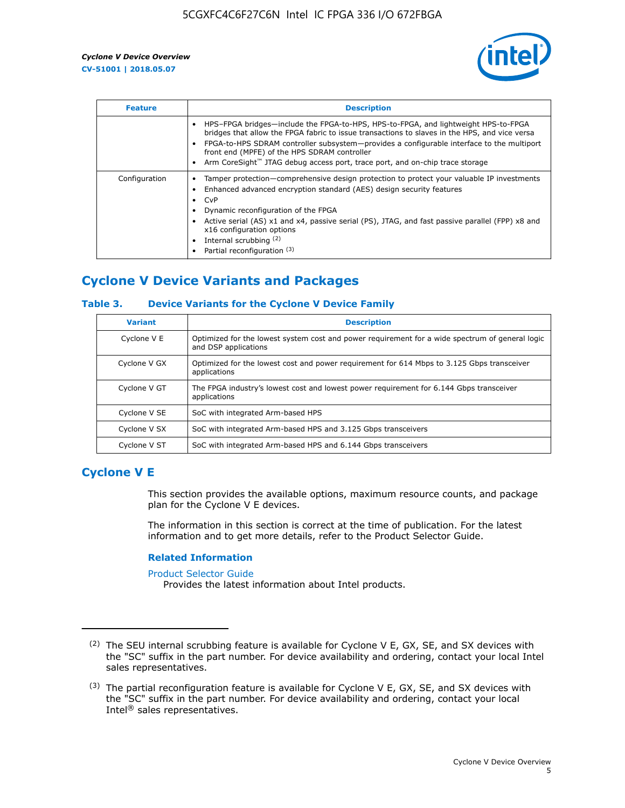

| <b>Feature</b> | <b>Description</b>                                                                                                                                                                                                                                                                                                                                                                                                           |  |  |  |  |  |  |  |
|----------------|------------------------------------------------------------------------------------------------------------------------------------------------------------------------------------------------------------------------------------------------------------------------------------------------------------------------------------------------------------------------------------------------------------------------------|--|--|--|--|--|--|--|
|                | HPS-FPGA bridges—include the FPGA-to-HPS, HPS-to-FPGA, and lightweight HPS-to-FPGA<br>bridges that allow the FPGA fabric to issue transactions to slaves in the HPS, and vice versa<br>FPGA-to-HPS SDRAM controller subsystem-provides a configurable interface to the multiport<br>front end (MPFE) of the HPS SDRAM controller<br>Arm CoreSight <sup>™</sup> JTAG debug access port, trace port, and on-chip trace storage |  |  |  |  |  |  |  |
| Configuration  | Tamper protection—comprehensive design protection to protect your valuable IP investments<br>Enhanced advanced encryption standard (AES) design security features<br>CvP<br>Dynamic reconfiguration of the FPGA<br>Active serial (AS) x1 and x4, passive serial (PS), JTAG, and fast passive parallel (FPP) x8 and<br>x16 configuration options<br>Internal scrubbing (2)<br>Partial reconfiguration (3)                     |  |  |  |  |  |  |  |

# **Cyclone V Device Variants and Packages**

#### **Table 3. Device Variants for the Cyclone V Device Family**

| <b>Variant</b> | <b>Description</b>                                                                                                      |
|----------------|-------------------------------------------------------------------------------------------------------------------------|
| Cyclone V E    | Optimized for the lowest system cost and power requirement for a wide spectrum of general logic<br>and DSP applications |
| Cyclone V GX   | Optimized for the lowest cost and power requirement for 614 Mbps to 3.125 Gbps transceiver<br>applications              |
| Cyclone V GT   | The FPGA industry's lowest cost and lowest power requirement for 6.144 Gbps transceiver<br>applications                 |
| Cyclone V SE   | SoC with integrated Arm-based HPS                                                                                       |
| Cyclone V SX   | SoC with integrated Arm-based HPS and 3.125 Gbps transceivers                                                           |
| Cyclone V ST   | SoC with integrated Arm-based HPS and 6.144 Gbps transceivers                                                           |

## **Cyclone V E**

This section provides the available options, maximum resource counts, and package plan for the Cyclone V E devices.

The information in this section is correct at the time of publication. For the latest information and to get more details, refer to the Product Selector Guide.

#### **Related Information**

[Product Selector Guide](https://www.altera.com/products/product-selector-guide.html)

Provides the latest information about Intel products.

<sup>(2)</sup> The SEU internal scrubbing feature is available for Cyclone V E, GX, SE, and SX devices with the "SC" suffix in the part number. For device availability and ordering, contact your local Intel sales representatives.

 $(3)$  The partial reconfiguration feature is available for Cyclone V E, GX, SE, and SX devices with the "SC" suffix in the part number. For device availability and ordering, contact your local Intel® sales representatives.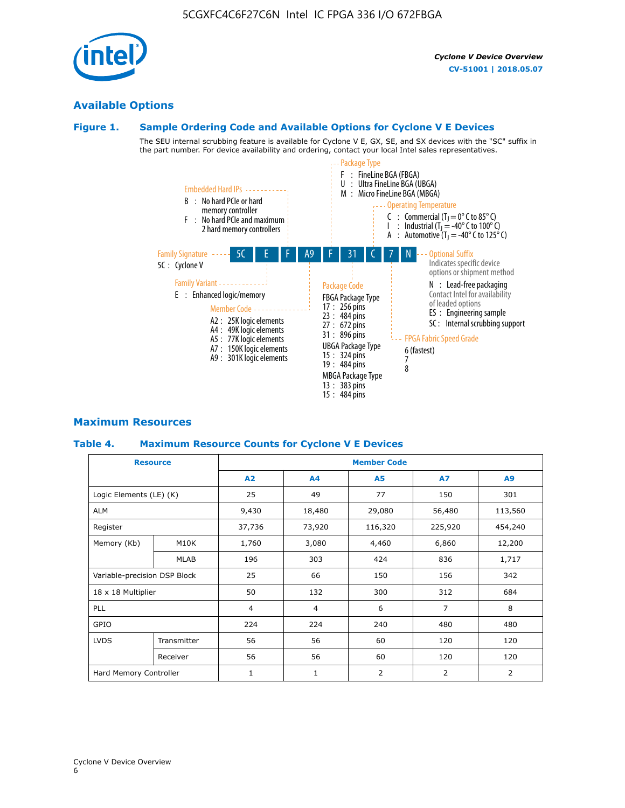# **Available Options**

#### **Figure 1. Sample Ordering Code and Available Options for Cyclone V E Devices**

The SEU internal scrubbing feature is available for Cyclone V E, GX, SE, and SX devices with the "SC" suffix in the part number. For device availability and ordering, contact your local Intel sales representatives.



## **Maximum Resources**

#### **Table 4. Maximum Resource Counts for Cyclone V E Devices**

|                              | <b>Resource</b> | <b>Member Code</b> |                |                |                |         |  |  |
|------------------------------|-----------------|--------------------|----------------|----------------|----------------|---------|--|--|
|                              |                 | A2                 | A4             | <b>A5</b>      | <b>A7</b>      | A9      |  |  |
| Logic Elements (LE) (K)      |                 | 25                 | 49             | 77             | 150            | 301     |  |  |
| <b>ALM</b>                   |                 | 9,430              | 18,480         | 29,080         | 56,480         | 113,560 |  |  |
| Register                     |                 | 37,736             | 73,920         | 116,320        | 225,920        | 454,240 |  |  |
| Memory (Kb)                  | M10K            | 1,760              | 3,080          | 4,460          | 6,860          | 12,200  |  |  |
|                              | <b>MLAB</b>     | 196                | 303            | 424            | 836            | 1,717   |  |  |
| Variable-precision DSP Block |                 | 25                 | 66             | 150            | 156            | 342     |  |  |
| 18 x 18 Multiplier           |                 | 50                 | 132            | 300            | 312            | 684     |  |  |
| PLL                          |                 | $\overline{4}$     | $\overline{4}$ | 6              | $\overline{7}$ | 8       |  |  |
| GPIO                         |                 | 224                | 224            | 240            | 480            | 480     |  |  |
| <b>LVDS</b>                  | Transmitter     | 56                 | 56             | 60             | 120            | 120     |  |  |
|                              | Receiver        | 56                 | 56             | 60             | 120            | 120     |  |  |
| Hard Memory Controller       |                 | $\mathbf{1}$       | $\mathbf{1}$   | $\overline{2}$ | 2              | 2       |  |  |

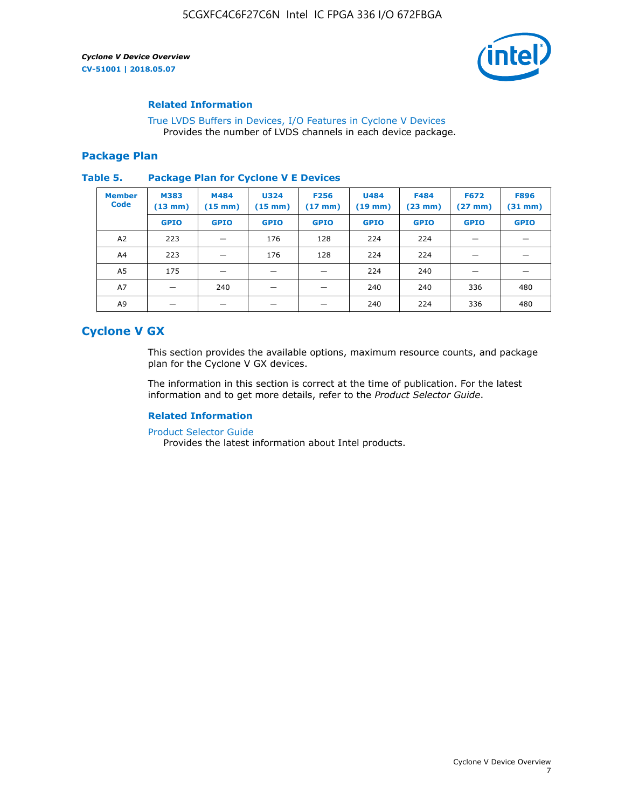

#### **Related Information**

[True LVDS Buffers in Devices, I/O Features in Cyclone V Devices](https://www.altera.com/documentation/sam1403481100977.html#sam1403480885395) Provides the number of LVDS channels in each device package.

#### **Package Plan**

#### **Table 5. Package Plan for Cyclone V E Devices**

| <b>Member</b><br><b>Code</b> | <b>M383</b><br>$(13 \text{ mm})$ | M484<br>$(15 \text{ mm})$ | <b>U324</b><br>$(15 \text{ mm})$ | <b>F256</b><br>$(17 \text{ mm})$ | <b>U484</b><br>$(19$ mm) | <b>F484</b><br>$(23$ mm $)$ | <b>F672</b><br>$(27 \, \text{mm})$ | <b>F896</b><br>$(31 \text{ mm})$ |
|------------------------------|----------------------------------|---------------------------|----------------------------------|----------------------------------|--------------------------|-----------------------------|------------------------------------|----------------------------------|
|                              | <b>GPIO</b>                      | <b>GPIO</b>               | <b>GPIO</b>                      | <b>GPIO</b>                      | <b>GPIO</b>              | <b>GPIO</b>                 | <b>GPIO</b>                        | <b>GPIO</b>                      |
| A2                           | 223                              |                           | 176                              | 128                              | 224                      | 224                         | –                                  |                                  |
| A4                           | 223                              |                           | 176                              | 128                              | 224                      | 224                         |                                    |                                  |
| A5                           | 175                              |                           |                                  |                                  | 224                      | 240                         |                                    |                                  |
| A7                           |                                  | 240                       |                                  |                                  | 240                      | 240                         | 336                                | 480                              |
| A9                           |                                  |                           |                                  |                                  | 240                      | 224                         | 336                                | 480                              |

# **Cyclone V GX**

This section provides the available options, maximum resource counts, and package plan for the Cyclone V GX devices.

The information in this section is correct at the time of publication. For the latest information and to get more details, refer to the *Product Selector Guide*.

#### **Related Information**

[Product Selector Guide](https://www.altera.com/products/product-selector-guide.html)

Provides the latest information about Intel products.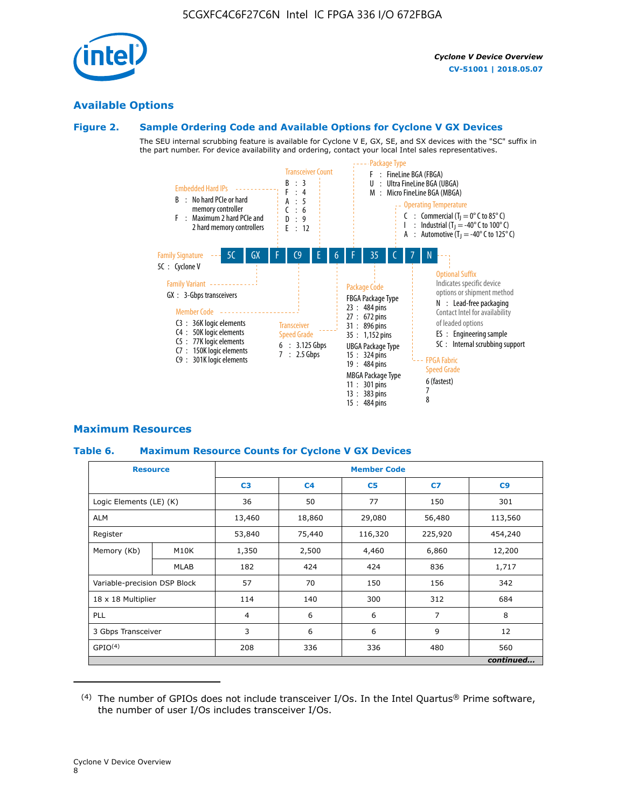

## **Available Options**

#### **Figure 2. Sample Ordering Code and Available Options for Cyclone V GX Devices**

The SEU internal scrubbing feature is available for Cyclone V E, GX, SE, and SX devices with the "SC" suffix in the part number. For device availability and ordering, contact your local Intel sales representatives.



#### **Maximum Resources**

#### **Table 6. Maximum Resource Counts for Cyclone V GX Devices**

| <b>Resource</b>              |             | <b>Member Code</b> |                |                |                |           |  |  |
|------------------------------|-------------|--------------------|----------------|----------------|----------------|-----------|--|--|
|                              |             | C <sub>3</sub>     | C <sub>4</sub> | C <sub>5</sub> | C7             | C9        |  |  |
| Logic Elements (LE) (K)      |             | 36                 | 50             | 77             | 150            | 301       |  |  |
| <b>ALM</b>                   |             | 13,460             | 18,860         | 29,080         | 56,480         | 113,560   |  |  |
| Register                     |             |                    | 75,440         | 116,320        | 225,920        | 454,240   |  |  |
| Memory (Kb)                  | M10K        | 1,350              | 2,500          | 4,460          | 6,860          | 12,200    |  |  |
|                              | <b>MLAB</b> | 182                | 424            | 424            | 836            | 1,717     |  |  |
| Variable-precision DSP Block |             | 57                 | 70             | 150            | 156            | 342       |  |  |
| 18 x 18 Multiplier           |             | 114                | 140            | 300            | 312            | 684       |  |  |
| PLL                          |             |                    | 6              | 6              | $\overline{7}$ | 8         |  |  |
| 3 Gbps Transceiver           |             | 3                  | 6              | 6              | 9              | 12        |  |  |
| GPIO <sup>(4)</sup>          |             | 208                | 336            | 336            | 480            | 560       |  |  |
|                              |             |                    |                |                |                | continued |  |  |

 $(4)$  The number of GPIOs does not include transceiver I/Os. In the Intel Quartus® Prime software, the number of user I/Os includes transceiver I/Os.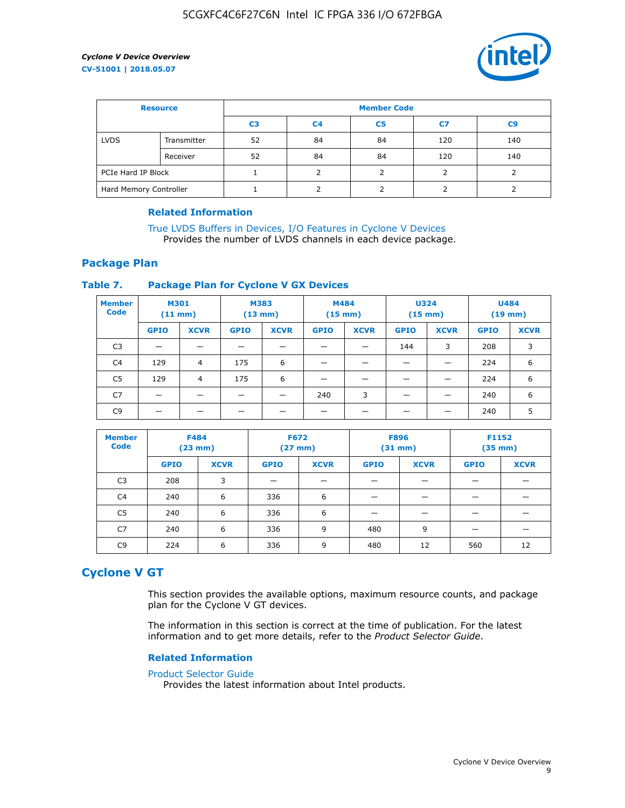

| <b>Resource</b>        |             | <b>Member Code</b> |                |                |     |                |  |  |
|------------------------|-------------|--------------------|----------------|----------------|-----|----------------|--|--|
|                        |             | C <sub>3</sub>     | C <sub>4</sub> | C <sub>5</sub> | C7  | C <sub>9</sub> |  |  |
| <b>LVDS</b>            | Transmitter | 52                 | 84             | 84             | 120 | 140            |  |  |
|                        | Receiver    | 52                 | 84             | 84             | 120 | 140            |  |  |
| PCIe Hard IP Block     |             |                    |                |                |     |                |  |  |
| Hard Memory Controller |             |                    | h              |                |     |                |  |  |

#### **Related Information**

[True LVDS Buffers in Devices, I/O Features in Cyclone V Devices](https://www.altera.com/documentation/sam1403481100977.html#sam1403480885395) Provides the number of LVDS channels in each device package.

#### **Package Plan**

#### **Table 7. Package Plan for Cyclone V GX Devices**

| <b>Member</b><br><b>Code</b> | <b>M301</b><br>$(11$ mm) |                | <b>M383</b><br>$(13 \text{ mm})$ |             | M484<br>$(15 \text{ mm})$ |             | <b>U324</b><br>$(15 \text{ mm})$ |             | <b>U484</b><br>$(19$ mm) |             |
|------------------------------|--------------------------|----------------|----------------------------------|-------------|---------------------------|-------------|----------------------------------|-------------|--------------------------|-------------|
|                              | <b>GPIO</b>              | <b>XCVR</b>    | <b>GPIO</b>                      | <b>XCVR</b> | <b>GPIO</b>               | <b>XCVR</b> | <b>GPIO</b>                      | <b>XCVR</b> | <b>GPIO</b>              | <b>XCVR</b> |
| C <sub>3</sub>               |                          |                |                                  |             |                           |             | 144                              | 3           | 208                      | 3           |
| C <sub>4</sub>               | 129                      | $\overline{4}$ | 175                              | 6           |                           |             | –                                |             | 224                      | 6           |
| C5                           | 129                      | 4              | 175                              | 6           |                           |             |                                  |             | 224                      | 6           |
| C7                           | _                        |                |                                  |             | 240                       | 3           |                                  |             | 240                      | 6           |
| C9                           |                          |                |                                  |             |                           |             |                                  |             | 240                      | 5           |

| <b>Member</b><br><b>Code</b> | <b>F484</b> | $(23$ mm)   | <b>F672</b> | $(27 \text{ mm})$ | <b>F896</b><br>$(31 \text{ mm})$ |             | F1152<br>$(35 \text{ mm})$ |             |
|------------------------------|-------------|-------------|-------------|-------------------|----------------------------------|-------------|----------------------------|-------------|
|                              | <b>GPIO</b> | <b>XCVR</b> | <b>GPIO</b> | <b>XCVR</b>       | <b>GPIO</b>                      | <b>XCVR</b> | <b>GPIO</b>                | <b>XCVR</b> |
| C <sub>3</sub>               | 208         | 3           |             |                   |                                  |             |                            |             |
| C4                           | 240         | 6           | 336         | 6                 |                                  |             |                            |             |
| C <sub>5</sub>               | 240         | 6           | 336         | 6                 |                                  |             |                            |             |
| C7                           | 240         | 6           | 336         | 9                 | 480                              | 9           |                            |             |
| C9                           | 224         | 6           | 336         | 9                 | 480                              | 12          | 560                        | 12          |

## **Cyclone V GT**

This section provides the available options, maximum resource counts, and package plan for the Cyclone V GT devices.

The information in this section is correct at the time of publication. For the latest information and to get more details, refer to the *Product Selector Guide*.

#### **Related Information**

#### [Product Selector Guide](https://www.altera.com/products/product-selector-guide.html)

Provides the latest information about Intel products.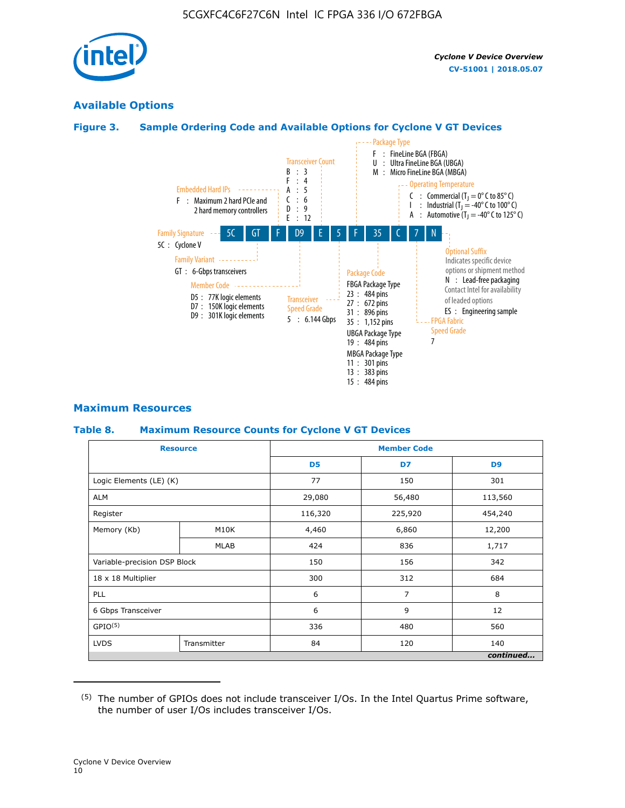

## **Available Options**

#### **Figure 3. Sample Ordering Code and Available Options for Cyclone V GT Devices**



#### **Maximum Resources**

#### **Table 8. Maximum Resource Counts for Cyclone V GT Devices**

|                              | <b>Resource</b> | <b>Member Code</b> |         |                |  |  |  |
|------------------------------|-----------------|--------------------|---------|----------------|--|--|--|
|                              |                 | D <sub>5</sub>     | D7      | D <sub>9</sub> |  |  |  |
| Logic Elements (LE) (K)      |                 | 77                 | 150     | 301            |  |  |  |
| <b>ALM</b>                   |                 | 29,080             | 56,480  | 113,560        |  |  |  |
| Register                     |                 | 116,320            | 225,920 | 454,240        |  |  |  |
| Memory (Kb)                  | M10K            | 4,460              | 6,860   | 12,200         |  |  |  |
|                              | <b>MLAB</b>     | 424                | 836     | 1,717          |  |  |  |
| Variable-precision DSP Block |                 | 150                | 156     | 342            |  |  |  |
| 18 x 18 Multiplier           |                 | 300                | 312     | 684            |  |  |  |
| PLL                          |                 | 6                  | 7       | 8              |  |  |  |
| 6 Gbps Transceiver           |                 | 6                  | 9       | 12             |  |  |  |
| GPIO <sup>(5)</sup>          |                 | 336                | 480     | 560            |  |  |  |
| <b>LVDS</b>                  | Transmitter     | 84                 | 120     | 140            |  |  |  |
|                              |                 |                    |         | continued      |  |  |  |

<sup>(5)</sup> The number of GPIOs does not include transceiver I/Os. In the Intel Quartus Prime software, the number of user I/Os includes transceiver I/Os.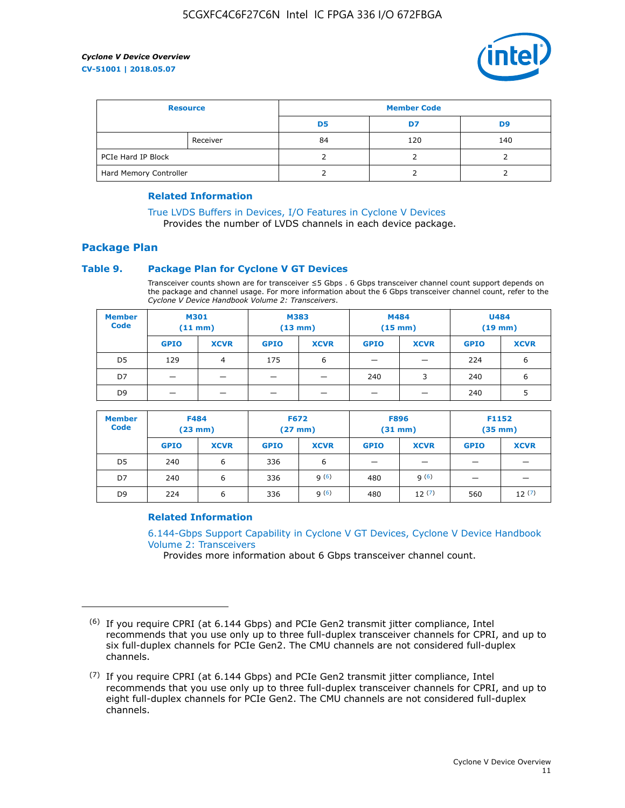

| <b>Resource</b>        |          | <b>Member Code</b> |     |     |  |
|------------------------|----------|--------------------|-----|-----|--|
|                        |          | D5                 | D7  | D9  |  |
|                        | Receiver | 84                 | 120 | 140 |  |
| PCIe Hard IP Block     |          |                    |     |     |  |
| Hard Memory Controller |          |                    |     |     |  |

#### **Related Information**

[True LVDS Buffers in Devices, I/O Features in Cyclone V Devices](https://www.altera.com/documentation/sam1403481100977.html#sam1403480885395) Provides the number of LVDS channels in each device package.

# **Package Plan**

#### **Table 9. Package Plan for Cyclone V GT Devices**

Transceiver counts shown are for transceiver ≤5 Gbps . 6 Gbps transceiver channel count support depends on the package and channel usage. For more information about the 6 Gbps transceiver channel count, refer to the *Cyclone V Device Handbook Volume 2: Transceivers*.

| <b>Member</b><br><b>Code</b> | <b>M301</b><br>(11 mm) |                | M383<br>$(13 \text{ mm})$ |             | M484<br>$(15 \text{ mm})$ |             | <b>U484</b><br>$(19$ mm) |             |
|------------------------------|------------------------|----------------|---------------------------|-------------|---------------------------|-------------|--------------------------|-------------|
|                              | <b>GPIO</b>            | <b>XCVR</b>    | <b>GPIO</b>               | <b>XCVR</b> | <b>GPIO</b>               | <b>XCVR</b> | <b>GPIO</b>              | <b>XCVR</b> |
| D5                           | 129                    | $\overline{4}$ | 175                       | 6           | -                         |             | 224                      | 6           |
| D7                           | -                      |                |                           |             | 240                       | 3           | 240                      | 6           |
| D <sub>9</sub>               | -                      | _              |                           |             | _                         |             | 240                      | 5           |

| <b>Member</b><br><b>Code</b> | <b>F484</b><br>$(23 \text{ mm})$ |             | <b>F672</b><br>$(27 \text{ mm})$ |             | <b>F896</b><br>$(31$ mm $)$ |             | F1152<br>$(35$ mm $)$ |             |
|------------------------------|----------------------------------|-------------|----------------------------------|-------------|-----------------------------|-------------|-----------------------|-------------|
|                              | <b>GPIO</b>                      | <b>XCVR</b> | <b>GPIO</b>                      | <b>XCVR</b> | <b>GPIO</b>                 | <b>XCVR</b> | <b>GPIO</b>           | <b>XCVR</b> |
| D <sub>5</sub>               | 240                              | 6           | 336                              | 6           | -                           |             |                       |             |
| D7                           | 240                              | 6           | 336                              | q(6)        | 480                         | q(6)        |                       |             |
| D <sub>9</sub>               | 224                              | 6           | 336                              | 9(6)        | 480                         | 12(7)       | 560                   | 12(7)       |

#### **Related Information**

[6.144-Gbps Support Capability in Cyclone V GT Devices, Cyclone V Device Handbook](https://www.altera.com/documentation/nik1409855456781.html#nik1409855410757) [Volume 2: Transceivers](https://www.altera.com/documentation/nik1409855456781.html#nik1409855410757)

Provides more information about 6 Gbps transceiver channel count.

<sup>(6)</sup> If you require CPRI (at 6.144 Gbps) and PCIe Gen2 transmit jitter compliance, Intel recommends that you use only up to three full-duplex transceiver channels for CPRI, and up to six full-duplex channels for PCIe Gen2. The CMU channels are not considered full-duplex channels.

 $(7)$  If you require CPRI (at 6.144 Gbps) and PCIe Gen2 transmit jitter compliance, Intel recommends that you use only up to three full-duplex transceiver channels for CPRI, and up to eight full-duplex channels for PCIe Gen2. The CMU channels are not considered full-duplex channels.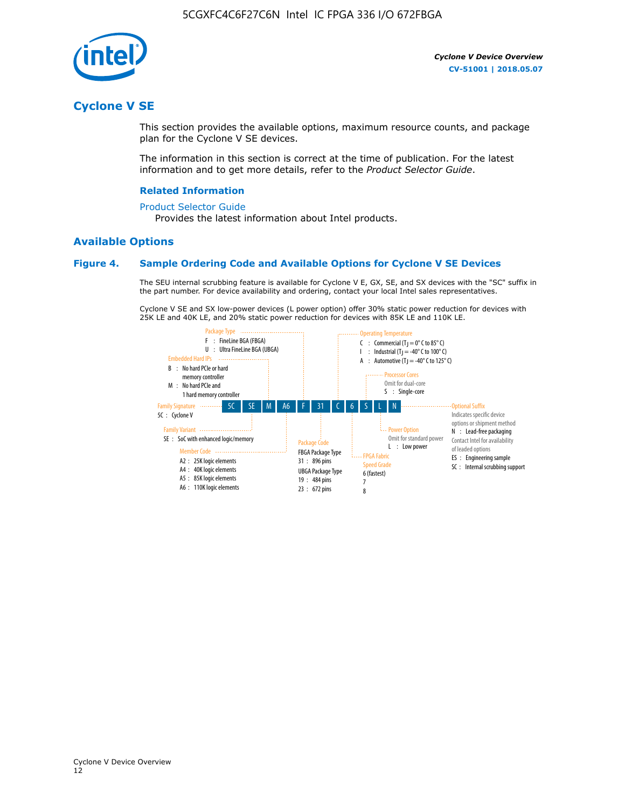

# **Cyclone V SE**

This section provides the available options, maximum resource counts, and package plan for the Cyclone V SE devices.

The information in this section is correct at the time of publication. For the latest information and to get more details, refer to the *Product Selector Guide*.

#### **Related Information**

#### [Product Selector Guide](https://www.altera.com/products/product-selector-guide.html)

Provides the latest information about Intel products.

#### **Available Options**

#### **Figure 4. Sample Ordering Code and Available Options for Cyclone V SE Devices**

The SEU internal scrubbing feature is available for Cyclone V E, GX, SE, and SX devices with the "SC" suffix in the part number. For device availability and ordering, contact your local Intel sales representatives.

Cyclone V SE and SX low-power devices (L power option) offer 30% static power reduction for devices with 25K LE and 40K LE, and 20% static power reduction for devices with 85K LE and 110K LE.

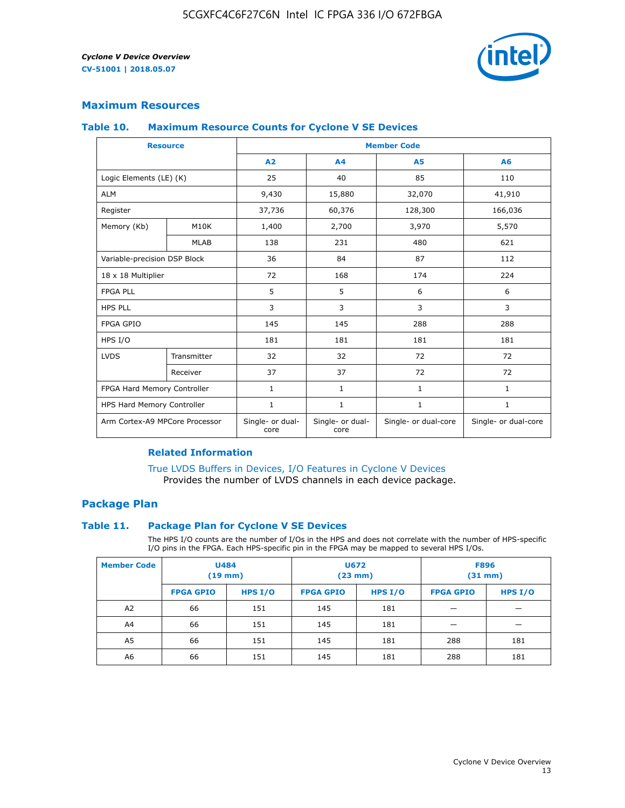

## **Maximum Resources**

#### **Table 10. Maximum Resource Counts for Cyclone V SE Devices**

|                                | <b>Resource</b> | <b>Member Code</b>       |                          |                      |                      |  |
|--------------------------------|-----------------|--------------------------|--------------------------|----------------------|----------------------|--|
|                                |                 | A2                       | A4                       | <b>A5</b>            | A6                   |  |
| Logic Elements (LE) (K)        |                 | 25                       | 40                       | 85                   | 110                  |  |
| <b>ALM</b>                     |                 | 9,430                    | 15,880                   | 32,070               | 41,910               |  |
| Register                       |                 | 37,736                   | 60,376                   | 128,300              | 166,036              |  |
| Memory (Kb)                    | M10K            | 1,400                    | 2,700                    | 3,970                | 5,570                |  |
|                                | <b>MLAB</b>     | 138                      | 231                      | 480                  | 621                  |  |
| Variable-precision DSP Block   |                 | 36                       | 84                       | 87                   | 112                  |  |
| 18 x 18 Multiplier             |                 | 72                       | 168                      | 174                  | 224                  |  |
| <b>FPGA PLL</b>                |                 | 5                        | 5                        | 6                    | 6                    |  |
| <b>HPS PLL</b>                 |                 | 3                        | 3                        | 3                    | 3                    |  |
| <b>FPGA GPIO</b>               |                 | 145                      | 145                      | 288                  | 288                  |  |
| HPS I/O                        |                 | 181                      | 181                      | 181                  | 181                  |  |
| <b>LVDS</b>                    | Transmitter     | 32                       | 32                       | 72                   | 72                   |  |
|                                | Receiver        | 37                       | 37                       | 72                   | 72                   |  |
| FPGA Hard Memory Controller    |                 | 1                        | $\mathbf{1}$             | $\mathbf{1}$         | $\mathbf{1}$         |  |
| HPS Hard Memory Controller     |                 | 1                        | $\mathbf{1}$             | $\mathbf{1}$         | 1                    |  |
| Arm Cortex-A9 MPCore Processor |                 | Single- or dual-<br>core | Single- or dual-<br>core | Single- or dual-core | Single- or dual-core |  |

#### **Related Information**

[True LVDS Buffers in Devices, I/O Features in Cyclone V Devices](https://www.altera.com/documentation/sam1403481100977.html#sam1403480885395) Provides the number of LVDS channels in each device package.

#### **Package Plan**

#### **Table 11. Package Plan for Cyclone V SE Devices**

The HPS I/O counts are the number of I/Os in the HPS and does not correlate with the number of HPS-specific I/O pins in the FPGA. Each HPS-specific pin in the FPGA may be mapped to several HPS I/Os.

| <b>Member Code</b> | <b>U484</b><br>$(19$ mm) |           | <b>U672</b><br>(23 mm) |           | <b>F896</b><br>$(31$ mm $)$ |           |
|--------------------|--------------------------|-----------|------------------------|-----------|-----------------------------|-----------|
|                    | <b>FPGA GPIO</b>         | HPS $I/O$ | <b>FPGA GPIO</b>       | HPS $I/O$ | <b>FPGA GPIO</b>            | HPS $I/O$ |
| A <sub>2</sub>     | 66                       | 151       | 145                    | 181       |                             |           |
| A4                 | 66                       | 151       | 145                    | 181       |                             |           |
| A <sub>5</sub>     | 66                       | 151       | 145                    | 181       | 288                         | 181       |
| A6                 | 66                       | 151       | 145                    | 181       | 288                         | 181       |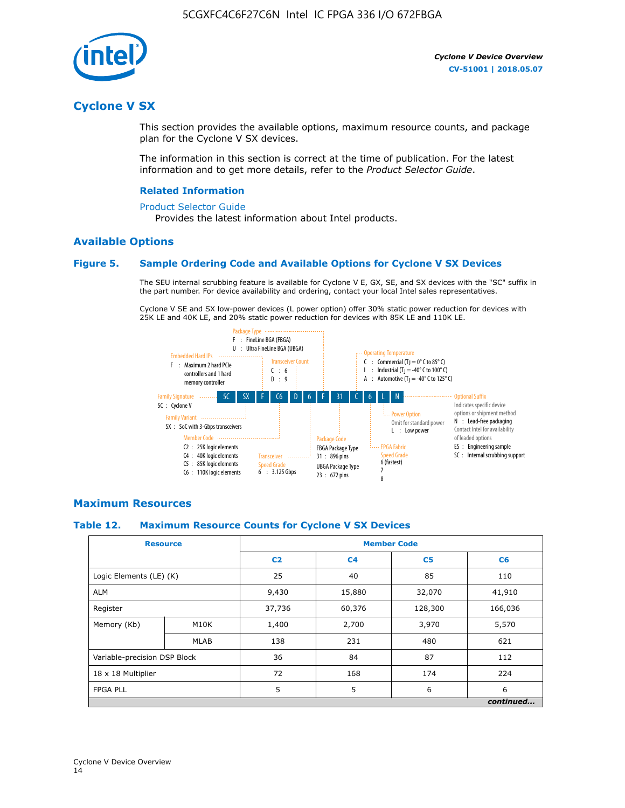

# **Cyclone V SX**

This section provides the available options, maximum resource counts, and package plan for the Cyclone V SX devices.

The information in this section is correct at the time of publication. For the latest information and to get more details, refer to the *Product Selector Guide*.

#### **Related Information**

#### [Product Selector Guide](https://www.altera.com/products/product-selector-guide.html)

Provides the latest information about Intel products.

#### **Available Options**

#### **Figure 5. Sample Ordering Code and Available Options for Cyclone V SX Devices**

The SEU internal scrubbing feature is available for Cyclone V E, GX, SE, and SX devices with the "SC" suffix in the part number. For device availability and ordering, contact your local Intel sales representatives.

Cyclone V SE and SX low-power devices (L power option) offer 30% static power reduction for devices with 25K LE and 40K LE, and 20% static power reduction for devices with 85K LE and 110K LE.



#### **Maximum Resources**

#### **Table 12. Maximum Resource Counts for Cyclone V SX Devices**

| <b>Resource</b>              |             | <b>Member Code</b> |                |                |           |  |
|------------------------------|-------------|--------------------|----------------|----------------|-----------|--|
|                              |             | C <sub>2</sub>     | C <sub>4</sub> | C <sub>5</sub> | C6        |  |
| Logic Elements (LE) (K)      |             | 25                 | 40             | 85             | 110       |  |
| <b>ALM</b>                   |             | 9,430              | 15,880         | 32,070         | 41,910    |  |
| Register                     |             | 37,736             | 60,376         | 128,300        | 166,036   |  |
| Memory (Kb)                  | M10K        | 1,400              | 2,700          | 3,970          | 5,570     |  |
|                              | <b>MLAB</b> | 138                | 231            | 480            | 621       |  |
| Variable-precision DSP Block |             | 36                 | 84             | 87             | 112       |  |
| 18 x 18 Multiplier           |             | 72                 | 168            | 174            | 224       |  |
| <b>FPGA PLL</b>              |             | 5                  | 5              | 6              | 6         |  |
|                              |             |                    |                |                | continued |  |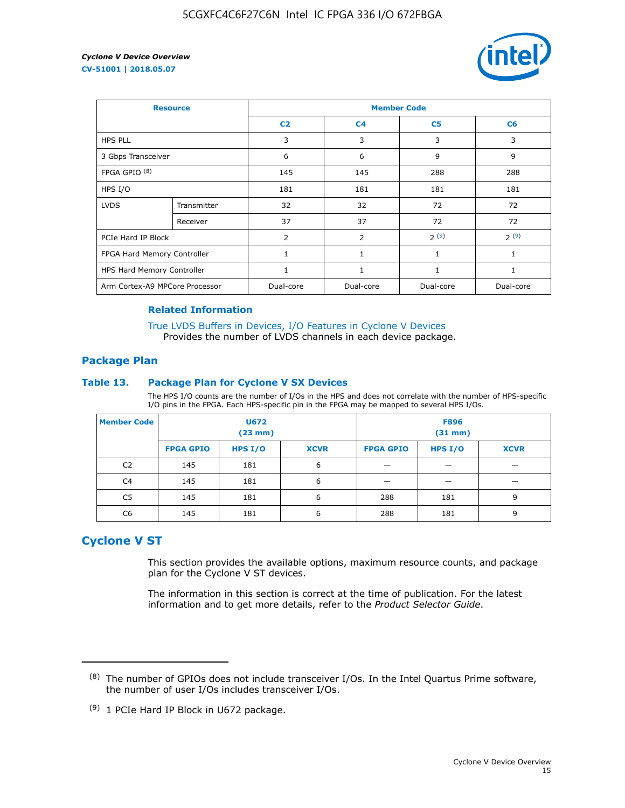

| <b>Resource</b>                |             | <b>Member Code</b> |                |                |              |  |  |
|--------------------------------|-------------|--------------------|----------------|----------------|--------------|--|--|
|                                |             | C <sub>2</sub>     | C <sub>4</sub> | C <sub>5</sub> | C6           |  |  |
| <b>HPS PLL</b>                 |             | 3                  | 3              | 3              | 3            |  |  |
| 3 Gbps Transceiver             |             | 6                  | 6              | 9              | 9            |  |  |
| FPGA GPIO <sup>(8)</sup>       |             | 145                | 145            | 288            | 288          |  |  |
| HPS I/O                        |             | 181                | 181            | 181            | 181          |  |  |
| <b>LVDS</b>                    | Transmitter | 32                 | 32             | 72             | 72           |  |  |
|                                | Receiver    | 37                 | 37             | 72             | 72           |  |  |
| PCIe Hard IP Block             |             | $\overline{2}$     | 2              | 2(9)           | 2(9)         |  |  |
| FPGA Hard Memory Controller    |             | $\mathbf{1}$       | $\mathbf{1}$   | $\mathbf{1}$   | $\mathbf{1}$ |  |  |
| HPS Hard Memory Controller     |             | 1                  | $\mathbf{1}$   | $\mathbf{1}$   | $\mathbf{1}$ |  |  |
| Arm Cortex-A9 MPCore Processor |             | Dual-core          | Dual-core      | Dual-core      | Dual-core    |  |  |

#### **Related Information**

[True LVDS Buffers in Devices, I/O Features in Cyclone V Devices](https://www.altera.com/documentation/sam1403481100977.html#sam1403480885395) Provides the number of LVDS channels in each device package.

#### **Package Plan**

#### **Table 13. Package Plan for Cyclone V SX Devices**

The HPS I/O counts are the number of I/Os in the HPS and does not correlate with the number of HPS-specific I/O pins in the FPGA. Each HPS-specific pin in the FPGA may be mapped to several HPS I/Os.

| <b>Member Code</b> | U672<br>(23 mm)  |           | <b>F896</b><br>$(31$ mm $)$ |                  |           |             |
|--------------------|------------------|-----------|-----------------------------|------------------|-----------|-------------|
|                    | <b>FPGA GPIO</b> | HPS $I/O$ | <b>XCVR</b>                 | <b>FPGA GPIO</b> | HPS $I/O$ | <b>XCVR</b> |
| C <sub>2</sub>     | 145              | 181       | 6                           |                  |           |             |
| C <sub>4</sub>     | 145              | 181       | 6                           |                  |           |             |
| C5                 | 145              | 181       | 6                           | 288              | 181       | 9           |
| C6                 | 145              | 181       | 6                           | 288              | 181       | 9           |

# **Cyclone V ST**

This section provides the available options, maximum resource counts, and package plan for the Cyclone V ST devices.

The information in this section is correct at the time of publication. For the latest information and to get more details, refer to the *Product Selector Guide*.

 $(8)$  The number of GPIOs does not include transceiver I/Os. In the Intel Quartus Prime software, the number of user I/Os includes transceiver I/Os.

<sup>(9)</sup> 1 PCIe Hard IP Block in U672 package.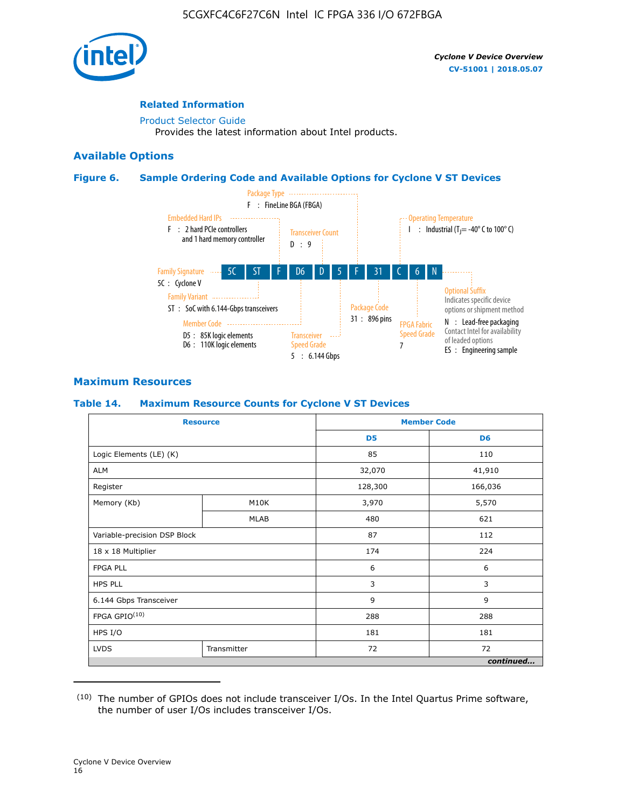

#### **Related Information**

[Product Selector Guide](https://www.altera.com/products/product-selector-guide.html) Provides the latest information about Intel products.

#### **Available Options**

#### **Figure 6. Sample Ordering Code and Available Options for Cyclone V ST Devices**



## **Maximum Resources**

#### **Table 14. Maximum Resource Counts for Cyclone V ST Devices**

| <b>Resource</b>              |             |                | <b>Member Code</b> |
|------------------------------|-------------|----------------|--------------------|
|                              |             | D <sub>5</sub> | D <sub>6</sub>     |
| Logic Elements (LE) (K)      |             | 85             | 110                |
| <b>ALM</b>                   |             | 32,070         | 41,910             |
| Register                     |             | 128,300        | 166,036            |
| Memory (Kb)                  | M10K        | 3,970          | 5,570              |
|                              | <b>MLAB</b> | 480            | 621                |
| Variable-precision DSP Block |             | 87             | 112                |
| 18 x 18 Multiplier           |             | 174            | 224                |
| <b>FPGA PLL</b>              |             | 6              | 6                  |
| <b>HPS PLL</b>               |             | 3              | 3                  |
| 6.144 Gbps Transceiver       |             | 9              | 9                  |
| FPGA GPIO(10)                |             | 288            | 288                |
| HPS I/O                      |             | 181            | 181                |
| <b>LVDS</b>                  | Transmitter | 72             | 72                 |
|                              |             |                | continued          |

<sup>(10)</sup> The number of GPIOs does not include transceiver I/Os. In the Intel Quartus Prime software, the number of user I/Os includes transceiver I/Os.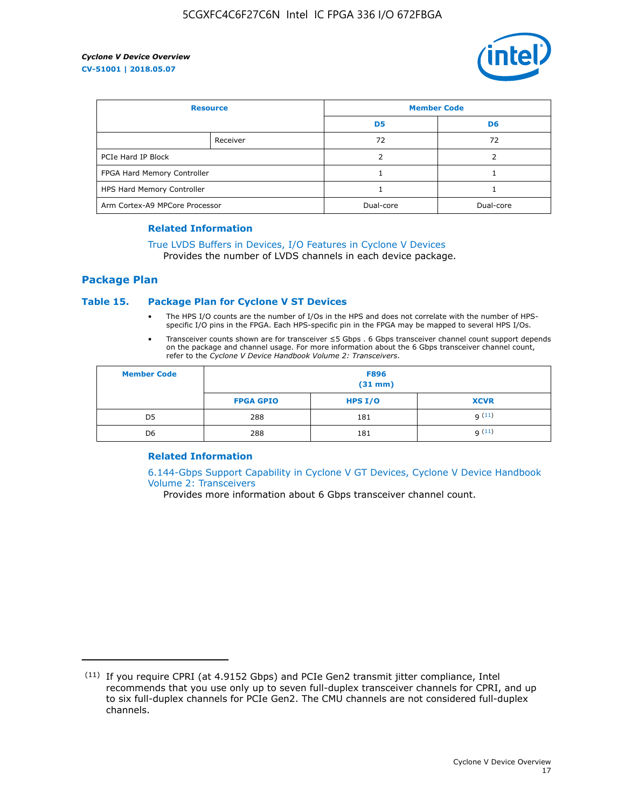

| <b>Resource</b>                |          | <b>Member Code</b> |                |  |
|--------------------------------|----------|--------------------|----------------|--|
|                                |          | D <sub>5</sub>     | D <sub>6</sub> |  |
|                                | Receiver | 72                 | 72             |  |
| PCIe Hard IP Block             |          |                    |                |  |
| FPGA Hard Memory Controller    |          |                    |                |  |
| HPS Hard Memory Controller     |          |                    |                |  |
| Arm Cortex-A9 MPCore Processor |          | Dual-core          | Dual-core      |  |

#### **Related Information**

# [True LVDS Buffers in Devices, I/O Features in Cyclone V Devices](https://www.altera.com/documentation/sam1403481100977.html#sam1403480885395)

Provides the number of LVDS channels in each device package.

#### **Package Plan**

#### **Table 15. Package Plan for Cyclone V ST Devices**

- The HPS I/O counts are the number of I/Os in the HPS and does not correlate with the number of HPSspecific I/O pins in the FPGA. Each HPS-specific pin in the FPGA may be mapped to several HPS I/Os.
- Transceiver counts shown are for transceiver ≤5 Gbps . 6 Gbps transceiver channel count support depends on the package and channel usage. For more information about the 6 Gbps transceiver channel count, refer to the *Cyclone V Device Handbook Volume 2: Transceivers*.

| <b>Member Code</b> | <b>F896</b><br>$(31$ mm $)$ |           |             |  |  |
|--------------------|-----------------------------|-----------|-------------|--|--|
|                    | <b>FPGA GPIO</b>            | HPS $I/O$ | <b>XCVR</b> |  |  |
| D <sub>5</sub>     | 288                         | 181       | 9(11)       |  |  |
| D <sub>6</sub>     | 288                         | 181       | q(11)       |  |  |

#### **Related Information**

[6.144-Gbps Support Capability in Cyclone V GT Devices, Cyclone V Device Handbook](https://www.altera.com/documentation/nik1409855456781.html#nik1409855410757) [Volume 2: Transceivers](https://www.altera.com/documentation/nik1409855456781.html#nik1409855410757)

Provides more information about 6 Gbps transceiver channel count.

<sup>(11)</sup> If you require CPRI (at 4.9152 Gbps) and PCIe Gen2 transmit jitter compliance, Intel recommends that you use only up to seven full-duplex transceiver channels for CPRI, and up to six full-duplex channels for PCIe Gen2. The CMU channels are not considered full-duplex channels.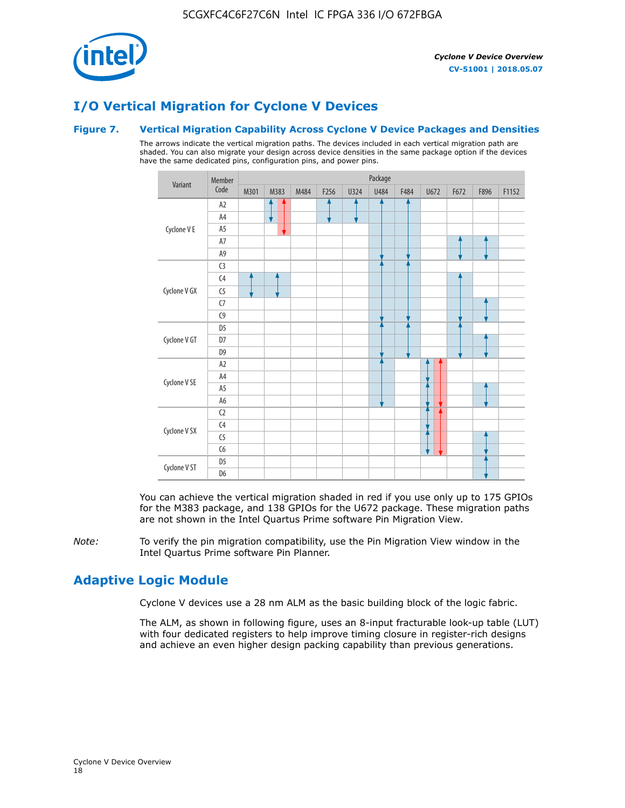

# **I/O Vertical Migration for Cyclone V Devices**

#### **Figure 7. Vertical Migration Capability Across Cyclone V Device Packages and Densities**

The arrows indicate the vertical migration paths. The devices included in each vertical migration path are shaded. You can also migrate your design across device densities in the same package option if the devices have the same dedicated pins, configuration pins, and power pins.



You can achieve the vertical migration shaded in red if you use only up to 175 GPIOs for the M383 package, and 138 GPIOs for the U672 package. These migration paths are not shown in the Intel Quartus Prime software Pin Migration View.

*Note:* To verify the pin migration compatibility, use the Pin Migration View window in the Intel Quartus Prime software Pin Planner.

# **Adaptive Logic Module**

Cyclone V devices use a 28 nm ALM as the basic building block of the logic fabric.

The ALM, as shown in following figure, uses an 8-input fracturable look-up table (LUT) with four dedicated registers to help improve timing closure in register-rich designs and achieve an even higher design packing capability than previous generations.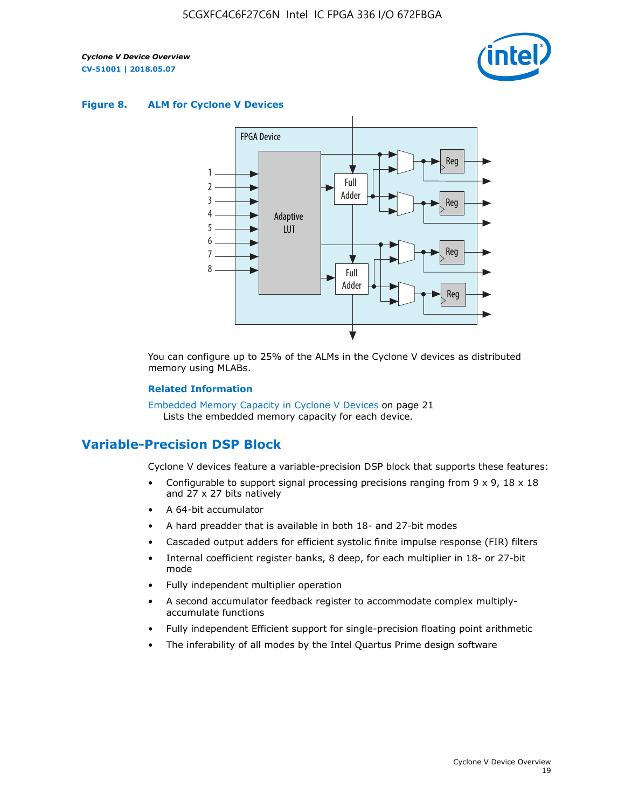

#### **Figure 8. ALM for Cyclone V Devices**



You can configure up to 25% of the ALMs in the Cyclone V devices as distributed memory using MLABs.

#### **Related Information**

Embedded Memory Capacity in Cyclone V Devices on page 21 Lists the embedded memory capacity for each device.

# **Variable-Precision DSP Block**

Cyclone V devices feature a variable-precision DSP block that supports these features:

- Configurable to support signal processing precisions ranging from  $9 \times 9$ ,  $18 \times 18$ and 27 x 27 bits natively
- A 64-bit accumulator
- A hard preadder that is available in both 18- and 27-bit modes
- Cascaded output adders for efficient systolic finite impulse response (FIR) filters
- Internal coefficient register banks, 8 deep, for each multiplier in 18- or 27-bit mode
- Fully independent multiplier operation
- A second accumulator feedback register to accommodate complex multiplyaccumulate functions
- Fully independent Efficient support for single-precision floating point arithmetic
- The inferability of all modes by the Intel Quartus Prime design software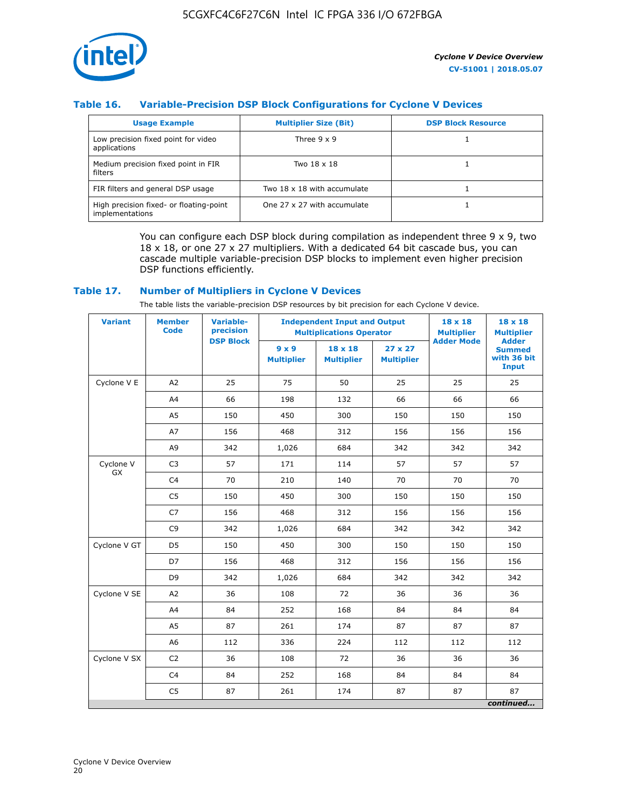

## **Table 16. Variable-Precision DSP Block Configurations for Cyclone V Devices**

| <b>Usage Example</b>                                       | <b>Multiplier Size (Bit)</b> | <b>DSP Block Resource</b> |
|------------------------------------------------------------|------------------------------|---------------------------|
| Low precision fixed point for video<br>applications        | Three $9 \times 9$           |                           |
| Medium precision fixed point in FIR<br>filters             | Two 18 x 18                  |                           |
| FIR filters and general DSP usage                          | Two 18 x 18 with accumulate  |                           |
| High precision fixed- or floating-point<br>implementations | One 27 x 27 with accumulate  |                           |

You can configure each DSP block during compilation as independent three  $9 \times 9$ , two 18 x 18, or one 27 x 27 multipliers. With a dedicated 64 bit cascade bus, you can cascade multiple variable-precision DSP blocks to implement even higher precision DSP functions efficiently.

#### **Table 17. Number of Multipliers in Cyclone V Devices**

The table lists the variable-precision DSP resources by bit precision for each Cyclone V device.

| <b>Variant</b>  | <b>Member</b><br><b>Code</b> | <b>Variable-</b><br>precision |                                   | <b>Independent Input and Output</b><br><b>Multiplications Operator</b> | $18 \times 18$<br><b>Multiplier</b> | $18 \times 18$<br><b>Multiplier</b> |                                                              |
|-----------------|------------------------------|-------------------------------|-----------------------------------|------------------------------------------------------------------------|-------------------------------------|-------------------------------------|--------------------------------------------------------------|
|                 |                              | <b>DSP Block</b>              | $9 \times 9$<br><b>Multiplier</b> | $18 \times 18$<br><b>Multiplier</b>                                    | $27 \times 27$<br><b>Multiplier</b> | <b>Adder Mode</b>                   | <b>Adder</b><br><b>Summed</b><br>with 36 bit<br><b>Input</b> |
| Cyclone V E     | A2                           | 25                            | 75                                | 50                                                                     | 25                                  | 25                                  | 25                                                           |
|                 | A4                           | 66                            | 198                               | 132                                                                    | 66                                  | 66                                  | 66                                                           |
|                 | A5                           | 150                           | 450                               | 300                                                                    | 150                                 | 150                                 | 150                                                          |
|                 | A7                           | 156                           | 468                               | 312                                                                    | 156                                 | 156                                 | 156                                                          |
|                 | A9                           | 342                           | 1,026                             | 684                                                                    | 342                                 | 342                                 | 342                                                          |
| Cyclone V<br>GX | C <sub>3</sub>               | 57                            | 171                               | 114                                                                    | 57                                  | 57                                  | 57                                                           |
|                 | C <sub>4</sub>               | 70                            | 210                               | 140                                                                    | 70                                  | 70                                  | 70                                                           |
|                 | C <sub>5</sub>               | 150                           | 450                               | 300                                                                    | 150                                 | 150                                 | 150                                                          |
|                 | C7                           | 156                           | 468                               | 312                                                                    | 156                                 | 156                                 | 156                                                          |
|                 | C <sub>9</sub>               | 342                           | 1,026                             | 684                                                                    | 342                                 | 342                                 | 342                                                          |
| Cyclone V GT    | D <sub>5</sub>               | 150                           | 450                               | 300                                                                    | 150                                 | 150                                 | 150                                                          |
|                 | D7                           | 156                           | 468                               | 312                                                                    | 156                                 | 156                                 | 156                                                          |
|                 | D <sub>9</sub>               | 342                           | 1,026                             | 684                                                                    | 342                                 | 342                                 | 342                                                          |
| Cyclone V SE    | A <sub>2</sub>               | 36                            | 108                               | 72                                                                     | 36                                  | 36                                  | 36                                                           |
|                 | A4                           | 84                            | 252                               | 168                                                                    | 84                                  | 84                                  | 84                                                           |
|                 | A5                           | 87                            | 261                               | 174                                                                    | 87                                  | 87                                  | 87                                                           |
|                 | A <sub>6</sub>               | 112                           | 336                               | 224                                                                    | 112                                 | 112                                 | 112                                                          |
| Cyclone V SX    | C <sub>2</sub>               | 36                            | 108                               | 72                                                                     | 36                                  | 36                                  | 36                                                           |
|                 | C <sub>4</sub>               | 84                            | 252                               | 168                                                                    | 84                                  | 84                                  | 84                                                           |
|                 | C <sub>5</sub>               | 87                            | 261                               | 174                                                                    | 87                                  | 87                                  | 87                                                           |
|                 |                              |                               |                                   |                                                                        |                                     |                                     | continued                                                    |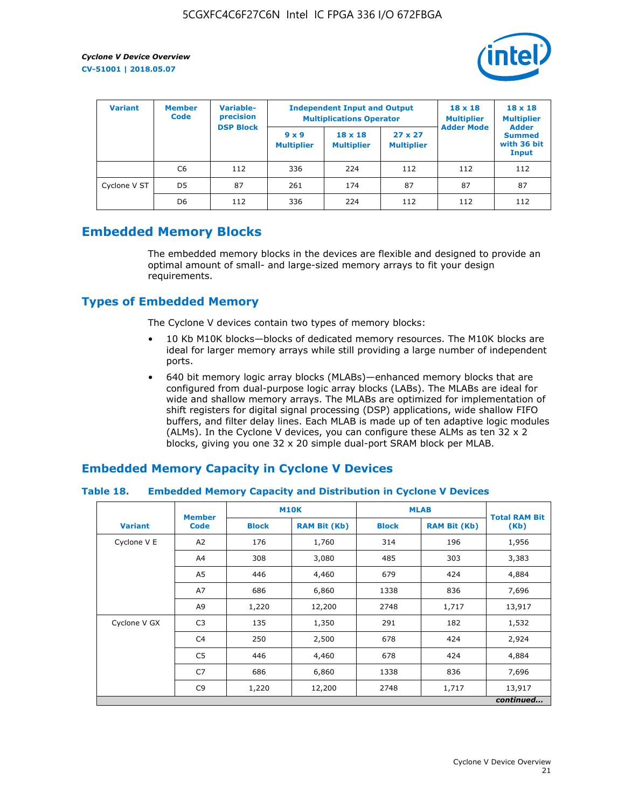

| <b>Variant</b> | Variable-<br><b>Member</b><br>precision<br><b>Code</b> |                  | <b>Independent Input and Output</b><br><b>Multiplications Operator</b> | $18 \times 18$<br><b>Multiplier</b> | $18 \times 18$<br><b>Multiplier</b><br><b>Adder</b> |                   |                                       |
|----------------|--------------------------------------------------------|------------------|------------------------------------------------------------------------|-------------------------------------|-----------------------------------------------------|-------------------|---------------------------------------|
|                |                                                        | <b>DSP Block</b> | $9 \times 9$<br><b>Multiplier</b>                                      | $18 \times 18$<br><b>Multiplier</b> | $27 \times 27$<br><b>Multiplier</b>                 | <b>Adder Mode</b> | <b>Summed</b><br>with 36 bit<br>Input |
|                | C6                                                     | 112              | 336                                                                    | 224                                 | 112                                                 | 112               | 112                                   |
| Cyclone V ST   | D <sub>5</sub>                                         | 87               | 261                                                                    | 174                                 | 87                                                  | 87                | 87                                    |
|                | D <sub>6</sub>                                         | 112              | 336                                                                    | 224                                 | 112                                                 | 112               | 112                                   |

# **Embedded Memory Blocks**

The embedded memory blocks in the devices are flexible and designed to provide an optimal amount of small- and large-sized memory arrays to fit your design requirements.

# **Types of Embedded Memory**

The Cyclone V devices contain two types of memory blocks:

- 10 Kb M10K blocks—blocks of dedicated memory resources. The M10K blocks are ideal for larger memory arrays while still providing a large number of independent ports.
- 640 bit memory logic array blocks (MLABs)—enhanced memory blocks that are configured from dual-purpose logic array blocks (LABs). The MLABs are ideal for wide and shallow memory arrays. The MLABs are optimized for implementation of shift registers for digital signal processing (DSP) applications, wide shallow FIFO buffers, and filter delay lines. Each MLAB is made up of ten adaptive logic modules (ALMs). In the Cyclone V devices, you can configure these ALMs as ten 32 x 2 blocks, giving you one 32 x 20 simple dual-port SRAM block per MLAB.

## **Embedded Memory Capacity in Cyclone V Devices**

#### **Table 18. Embedded Memory Capacity and Distribution in Cyclone V Devices**

|                | <b>Member</b>  | <b>M10K</b>  |                     | <b>MLAB</b>  | <b>Total RAM Bit</b> |        |  |  |  |
|----------------|----------------|--------------|---------------------|--------------|----------------------|--------|--|--|--|
| <b>Variant</b> | <b>Code</b>    | <b>Block</b> | <b>RAM Bit (Kb)</b> | <b>Block</b> | <b>RAM Bit (Kb)</b>  | (Kb)   |  |  |  |
| Cyclone V E    | A2             | 176          | 1,760               | 314          | 196                  | 1,956  |  |  |  |
|                | A4             | 308          | 3,080               | 485          | 303                  | 3,383  |  |  |  |
|                | A5             | 446          | 4,460               | 679          | 424                  | 4,884  |  |  |  |
|                | A7             | 686          | 6,860               | 1338         | 836                  | 7,696  |  |  |  |
|                | A9             | 1,220        | 12,200              | 2748         | 1,717                | 13,917 |  |  |  |
| Cyclone V GX   | C <sub>3</sub> | 135          | 1,350               | 291          | 182                  | 1,532  |  |  |  |
|                | C4             | 250          | 2,500               | 678          | 424                  | 2,924  |  |  |  |
|                | C5             | 446          | 4,460               | 678          | 424                  | 4,884  |  |  |  |
|                | C7             | 686          | 6,860               | 1338         | 836                  | 7,696  |  |  |  |
|                | C <sub>9</sub> | 1,220        | 12,200              | 2748         | 1,717                | 13,917 |  |  |  |
|                | continued      |              |                     |              |                      |        |  |  |  |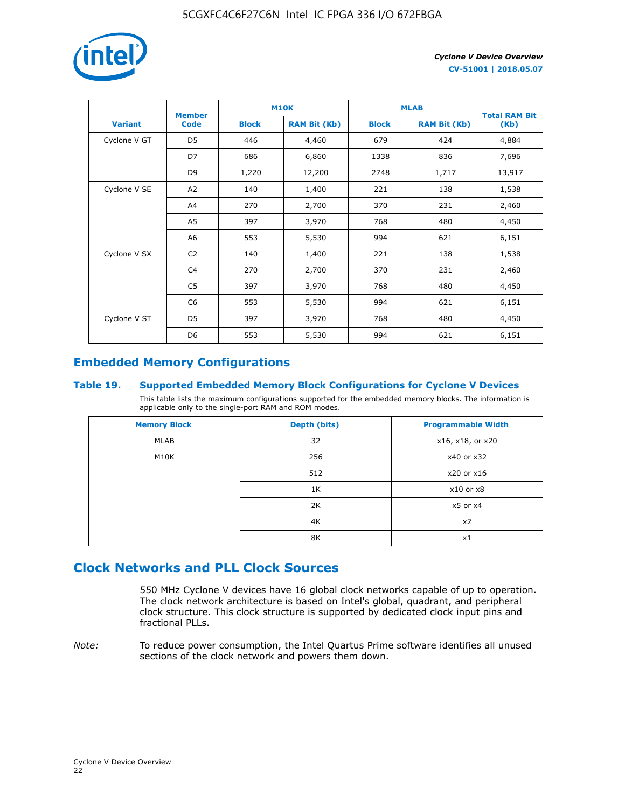

|                | <b>Member</b>  | <b>M10K</b>  |                     | <b>MLAB</b>  | <b>Total RAM Bit</b> |        |
|----------------|----------------|--------------|---------------------|--------------|----------------------|--------|
| <b>Variant</b> | <b>Code</b>    | <b>Block</b> | <b>RAM Bit (Kb)</b> | <b>Block</b> | <b>RAM Bit (Kb)</b>  | (Kb)   |
| Cyclone V GT   | D <sub>5</sub> | 446          | 4,460               | 679          | 424                  | 4,884  |
|                | D7             | 686          | 6,860               | 1338         | 836                  | 7,696  |
|                | D <sub>9</sub> | 1,220        | 12,200              | 2748         | 1,717                | 13,917 |
| Cyclone V SE   | A <sub>2</sub> | 140          | 1,400               | 221          | 138                  | 1,538  |
|                | A4             | 270          | 2,700               | 370          | 231                  | 2,460  |
|                | A5             | 397          | 3,970               | 768          | 480                  | 4,450  |
|                | A6             | 553          | 5,530               | 994          | 621                  | 6,151  |
| Cyclone V SX   | C <sub>2</sub> | 140          | 1,400               | 221          | 138                  | 1,538  |
|                | C <sub>4</sub> | 270          | 2,700               | 370          | 231                  | 2,460  |
|                | C5             | 397          | 3,970               | 768          | 480                  | 4,450  |
|                | C <sub>6</sub> | 553          | 5,530               | 994          | 621                  | 6,151  |
| Cyclone V ST   | D <sub>5</sub> | 397          | 3,970               | 768          | 480                  | 4,450  |
|                | D <sub>6</sub> | 553          | 5,530               | 994          | 621                  | 6,151  |

# **Embedded Memory Configurations**

#### **Table 19. Supported Embedded Memory Block Configurations for Cyclone V Devices**

This table lists the maximum configurations supported for the embedded memory blocks. The information is applicable only to the single-port RAM and ROM modes.

| <b>Memory Block</b> | Depth (bits) | <b>Programmable Width</b> |
|---------------------|--------------|---------------------------|
| MLAB                | 32           | x16, x18, or x20          |
| M10K                | 256          | x40 or x32                |
|                     | 512          | x20 or x16                |
|                     | 1K           | $x10$ or $x8$             |
|                     | 2K           | $x5$ or $x4$              |
|                     | 4K           | x2                        |
|                     | 8K           | x1                        |

# **Clock Networks and PLL Clock Sources**

550 MHz Cyclone V devices have 16 global clock networks capable of up to operation. The clock network architecture is based on Intel's global, quadrant, and peripheral clock structure. This clock structure is supported by dedicated clock input pins and fractional PLLs.

*Note:* To reduce power consumption, the Intel Quartus Prime software identifies all unused sections of the clock network and powers them down.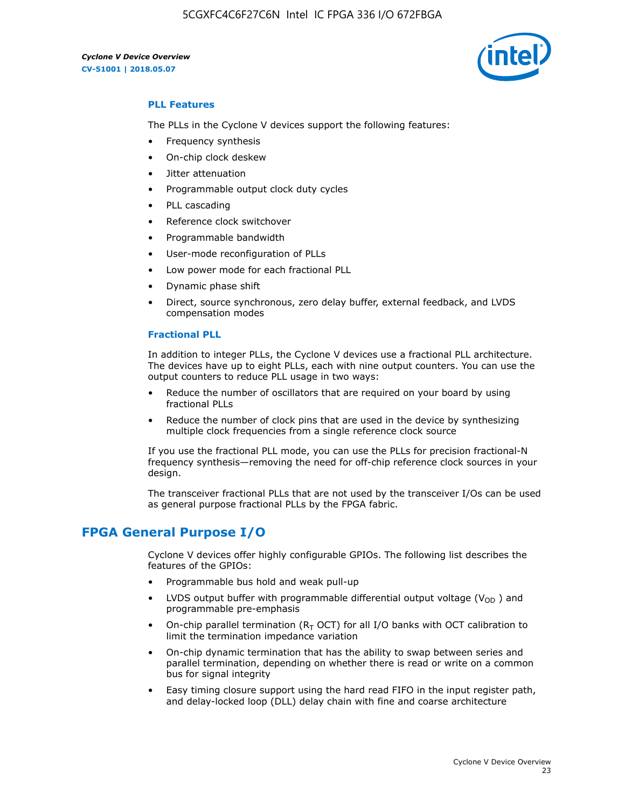

#### **PLL Features**

The PLLs in the Cyclone V devices support the following features:

- Frequency synthesis
- On-chip clock deskew
- Jitter attenuation
- Programmable output clock duty cycles
- PLL cascading
- Reference clock switchover
- Programmable bandwidth
- User-mode reconfiguration of PLLs
- Low power mode for each fractional PLL
- Dynamic phase shift
- Direct, source synchronous, zero delay buffer, external feedback, and LVDS compensation modes

#### **Fractional PLL**

In addition to integer PLLs, the Cyclone V devices use a fractional PLL architecture. The devices have up to eight PLLs, each with nine output counters. You can use the output counters to reduce PLL usage in two ways:

- Reduce the number of oscillators that are required on your board by using fractional PLLs
- Reduce the number of clock pins that are used in the device by synthesizing multiple clock frequencies from a single reference clock source

If you use the fractional PLL mode, you can use the PLLs for precision fractional-N frequency synthesis—removing the need for off-chip reference clock sources in your design.

The transceiver fractional PLLs that are not used by the transceiver I/Os can be used as general purpose fractional PLLs by the FPGA fabric.

## **FPGA General Purpose I/O**

Cyclone V devices offer highly configurable GPIOs. The following list describes the features of the GPIOs:

- Programmable bus hold and weak pull-up
- LVDS output buffer with programmable differential output voltage ( $V_{OD}$ ) and programmable pre-emphasis
- On-chip parallel termination ( $R<sub>T</sub>$  OCT) for all I/O banks with OCT calibration to limit the termination impedance variation
- On-chip dynamic termination that has the ability to swap between series and parallel termination, depending on whether there is read or write on a common bus for signal integrity
- Easy timing closure support using the hard read FIFO in the input register path, and delay-locked loop (DLL) delay chain with fine and coarse architecture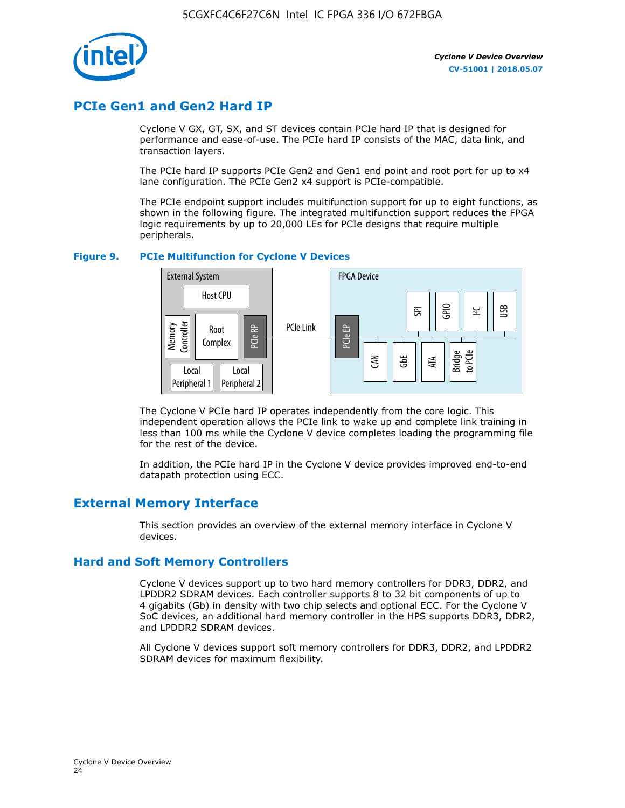

# **PCIe Gen1 and Gen2 Hard IP**

Cyclone V GX, GT, SX, and ST devices contain PCIe hard IP that is designed for performance and ease-of-use. The PCIe hard IP consists of the MAC, data link, and transaction layers.

The PCIe hard IP supports PCIe Gen2 and Gen1 end point and root port for up to x4 lane configuration. The PCIe Gen2 x4 support is PCIe-compatible.

The PCIe endpoint support includes multifunction support for up to eight functions, as shown in the following figure. The integrated multifunction support reduces the FPGA logic requirements by up to 20,000 LEs for PCIe designs that require multiple peripherals.

#### **Figure 9. PCIe Multifunction for Cyclone V Devices**



The Cyclone V PCIe hard IP operates independently from the core logic. This independent operation allows the PCIe link to wake up and complete link training in less than 100 ms while the Cyclone V device completes loading the programming file for the rest of the device.

In addition, the PCIe hard IP in the Cyclone V device provides improved end-to-end datapath protection using ECC.

# **External Memory Interface**

This section provides an overview of the external memory interface in Cyclone V devices.

#### **Hard and Soft Memory Controllers**

Cyclone V devices support up to two hard memory controllers for DDR3, DDR2, and LPDDR2 SDRAM devices. Each controller supports 8 to 32 bit components of up to 4 gigabits (Gb) in density with two chip selects and optional ECC. For the Cyclone V SoC devices, an additional hard memory controller in the HPS supports DDR3, DDR2, and LPDDR2 SDRAM devices.

All Cyclone V devices support soft memory controllers for DDR3, DDR2, and LPDDR2 SDRAM devices for maximum flexibility.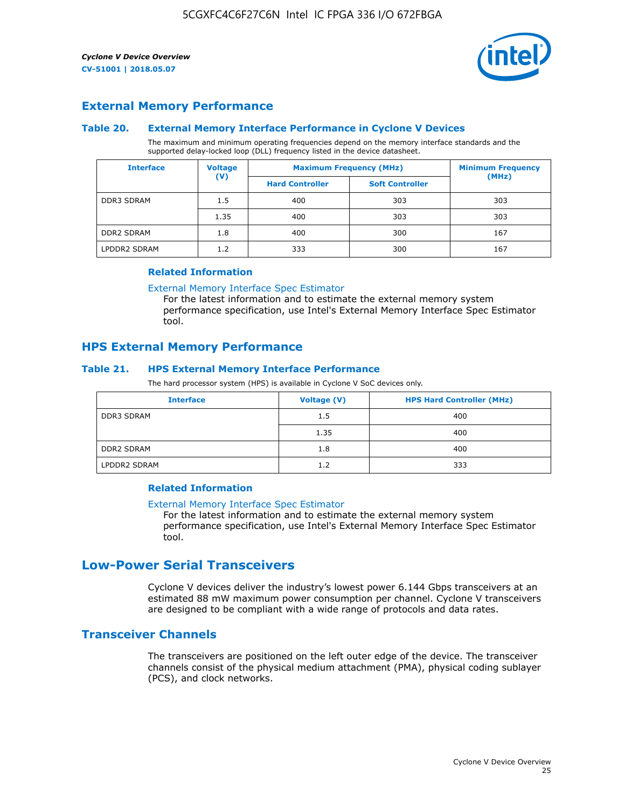

## **External Memory Performance**

#### **Table 20. External Memory Interface Performance in Cyclone V Devices**

The maximum and minimum operating frequencies depend on the memory interface standards and the supported delay-locked loop (DLL) frequency listed in the device datasheet.

| <b>Interface</b>  | <b>Voltage</b> |                        | <b>Maximum Frequency (MHz)</b> |       |  |
|-------------------|----------------|------------------------|--------------------------------|-------|--|
|                   | $(\mathsf{V})$ | <b>Hard Controller</b> | <b>Soft Controller</b>         | (MHz) |  |
| <b>DDR3 SDRAM</b> | 1.5            | 400                    | 303                            | 303   |  |
|                   | 1.35           | 400                    | 303                            | 303   |  |
| <b>DDR2 SDRAM</b> | 1.8            | 400                    | 300                            | 167   |  |
| LPDDR2 SDRAM      | 1.2            | 333                    | 300                            | 167   |  |

#### **Related Information**

[External Memory Interface Spec Estimator](https://www.altera.com/solutions/technology/external-memory/spec-estimator.html)

For the latest information and to estimate the external memory system performance specification, use Intel's External Memory Interface Spec Estimator tool.

#### **HPS External Memory Performance**

#### **Table 21. HPS External Memory Interface Performance**

The hard processor system (HPS) is available in Cyclone V SoC devices only.

| <b>Interface</b>  | Voltage (V) | <b>HPS Hard Controller (MHz)</b> |
|-------------------|-------------|----------------------------------|
| DDR3 SDRAM        | 1.5         | 400                              |
|                   | 1.35        | 400                              |
| <b>DDR2 SDRAM</b> | 1.8         | 400                              |
| LPDDR2 SDRAM      | 1.2         | 333                              |

#### **Related Information**

#### [External Memory Interface Spec Estimator](https://www.altera.com/solutions/technology/external-memory/spec-estimator.html)

For the latest information and to estimate the external memory system performance specification, use Intel's External Memory Interface Spec Estimator tool.

# **Low-Power Serial Transceivers**

Cyclone V devices deliver the industry's lowest power 6.144 Gbps transceivers at an estimated 88 mW maximum power consumption per channel. Cyclone V transceivers are designed to be compliant with a wide range of protocols and data rates.

## **Transceiver Channels**

The transceivers are positioned on the left outer edge of the device. The transceiver channels consist of the physical medium attachment (PMA), physical coding sublayer (PCS), and clock networks.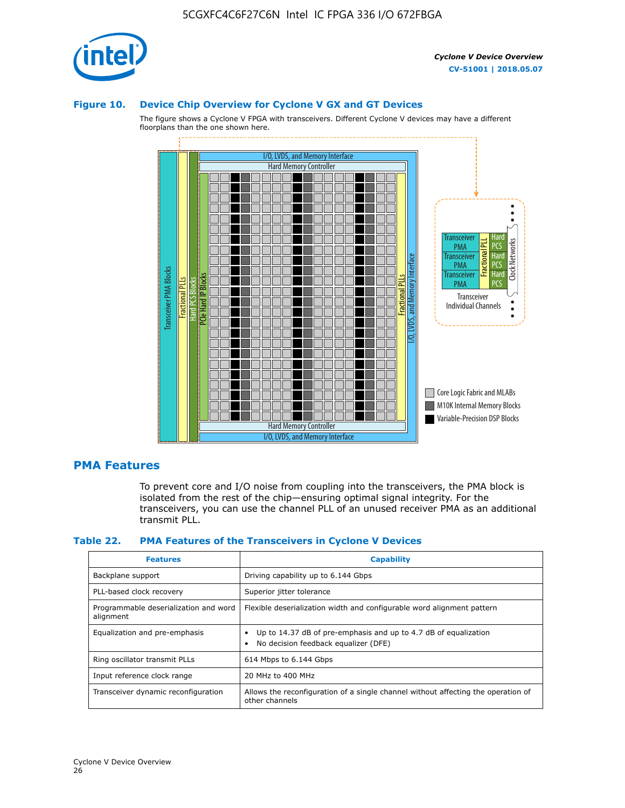

#### **Figure 10. Device Chip Overview for Cyclone V GX and GT Devices**

The figure shows a Cyclone V FPGA with transceivers. Different Cyclone V devices may have a different floorplans than the one shown here.



#### **PMA Features**

To prevent core and I/O noise from coupling into the transceivers, the PMA block is isolated from the rest of the chip—ensuring optimal signal integrity. For the transceivers, you can use the channel PLL of an unused receiver PMA as an additional transmit PLL.

#### **Table 22. PMA Features of the Transceivers in Cyclone V Devices**

| <b>Features</b>                                    | <b>Capability</b>                                                                                       |
|----------------------------------------------------|---------------------------------------------------------------------------------------------------------|
| Backplane support                                  | Driving capability up to 6.144 Gbps                                                                     |
| PLL-based clock recovery                           | Superior jitter tolerance                                                                               |
| Programmable deserialization and word<br>alignment | Flexible deserialization width and configurable word alignment pattern                                  |
| Equalization and pre-emphasis                      | Up to 14.37 dB of pre-emphasis and up to 4.7 dB of equalization<br>No decision feedback equalizer (DFE) |
| Ring oscillator transmit PLLs                      | 614 Mbps to 6.144 Gbps                                                                                  |
| Input reference clock range                        | 20 MHz to 400 MHz                                                                                       |
| Transceiver dynamic reconfiguration                | Allows the reconfiguration of a single channel without affecting the operation of<br>other channels     |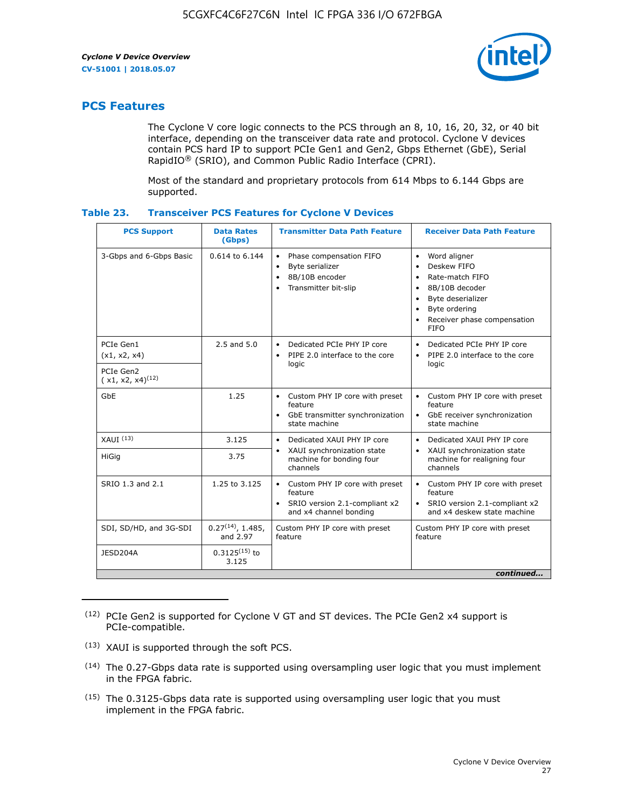

# **PCS Features**

The Cyclone V core logic connects to the PCS through an 8, 10, 16, 20, 32, or 40 bit interface, depending on the transceiver data rate and protocol. Cyclone V devices contain PCS hard IP to support PCIe Gen1 and Gen2, Gbps Ethernet (GbE), Serial RapidIO® (SRIO), and Common Public Radio Interface (CPRI).

Most of the standard and proprietary protocols from 614 Mbps to 6.144 Gbps are supported.

| Table 23. | <b>Transceiver PCS Features for Cyclone V Devices</b> |  |  |  |
|-----------|-------------------------------------------------------|--|--|--|
|-----------|-------------------------------------------------------|--|--|--|

| <b>PCS Support</b>                 | <b>Data Rates</b><br>(Gbps)        | <b>Transmitter Data Path Feature</b>                                                                         | <b>Receiver Data Path Feature</b>                                                                                                                                                                                                  |  |  |
|------------------------------------|------------------------------------|--------------------------------------------------------------------------------------------------------------|------------------------------------------------------------------------------------------------------------------------------------------------------------------------------------------------------------------------------------|--|--|
| 3-Gbps and 6-Gbps Basic            | 0.614 to 6.144                     | • Phase compensation FIFO<br>Byte serializer<br>8B/10B encoder<br>Transmitter bit-slip                       | Word aligner<br>$\bullet$<br>Deskew FIFO<br>$\bullet$<br>Rate-match FIFO<br>$\bullet$<br>8B/10B decoder<br>$\bullet$<br>Byte deserializer<br>$\bullet$<br>Byte ordering<br>$\bullet$<br>Receiver phase compensation<br><b>FIFO</b> |  |  |
| PCIe Gen1<br>(x1, x2, x4)          | $2.5$ and $5.0$                    | Dedicated PCIe PHY IP core<br>PIPE 2.0 interface to the core<br>$\bullet$<br>logic                           | Dedicated PCIe PHY IP core<br>$\bullet$<br>PIPE 2.0 interface to the core<br>$\bullet$<br>logic                                                                                                                                    |  |  |
| PCIe Gen2<br>$(x1, x2, x4)^{(12)}$ |                                    |                                                                                                              |                                                                                                                                                                                                                                    |  |  |
| GbE                                | 1.25                               | • Custom PHY IP core with preset<br>feature<br>GbE transmitter synchronization<br>$\bullet$<br>state machine | • Custom PHY IP core with preset<br>feature<br>GbE receiver synchronization<br>state machine                                                                                                                                       |  |  |
| $XAUI$ $(13)$                      | 3.125                              | Dedicated XAUI PHY IP core<br>$\bullet$                                                                      | Dedicated XAUI PHY IP core<br>$\bullet$                                                                                                                                                                                            |  |  |
| <b>HiGig</b>                       | 3.75                               | XAUI synchronization state<br>$\bullet$<br>machine for bonding four<br>channels                              | XAUI synchronization state<br>$\bullet$<br>machine for realigning four<br>channels                                                                                                                                                 |  |  |
| SRIO 1.3 and 2.1                   | 1.25 to 3.125                      | • Custom PHY IP core with preset<br>feature<br>• SRIO version 2.1-compliant x2<br>and x4 channel bonding     | • Custom PHY IP core with preset<br>feature<br>• SRIO version 2.1-compliant x2<br>and x4 deskew state machine                                                                                                                      |  |  |
| SDI, SD/HD, and 3G-SDI             | $0.27^{(14)}$ , 1.485,<br>and 2.97 | Custom PHY IP core with preset<br>feature                                                                    | Custom PHY IP core with preset<br>feature                                                                                                                                                                                          |  |  |
| JESD204A                           | $0.3125^{(15)}$ to<br>3.125        |                                                                                                              |                                                                                                                                                                                                                                    |  |  |
| continued                          |                                    |                                                                                                              |                                                                                                                                                                                                                                    |  |  |

<sup>(12)</sup> PCIe Gen2 is supported for Cyclone V GT and ST devices. The PCIe Gen2 x4 support is PCIe-compatible.

<sup>(13)</sup> XAUI is supported through the soft PCS.

<sup>(14)</sup> The 0.27-Gbps data rate is supported using oversampling user logic that you must implement in the FPGA fabric.

<sup>(15)</sup> The 0.3125-Gbps data rate is supported using oversampling user logic that you must implement in the FPGA fabric.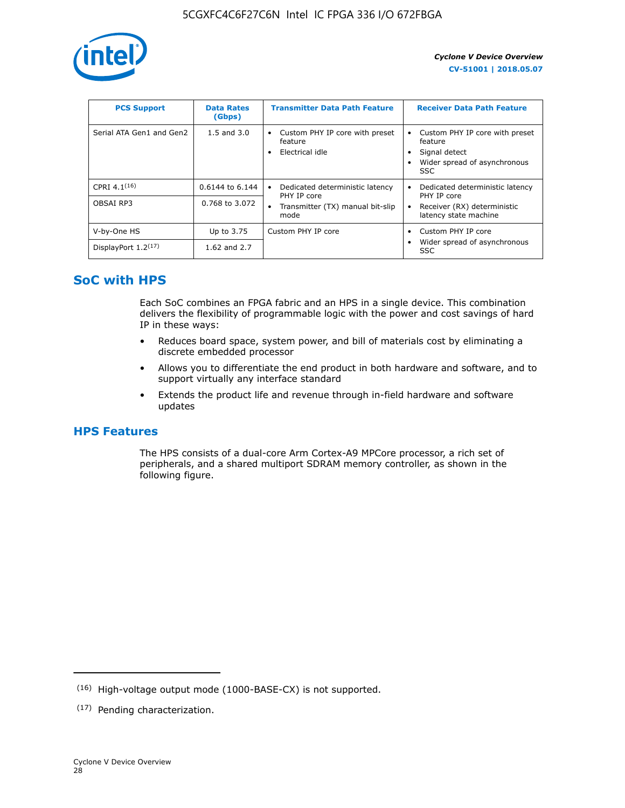

| <b>PCS Support</b>       | <b>Data Rates</b><br>(Gbps) | <b>Transmitter Data Path Feature</b>                         | <b>Receiver Data Path Feature</b>                                                                        |
|--------------------------|-----------------------------|--------------------------------------------------------------|----------------------------------------------------------------------------------------------------------|
| Serial ATA Gen1 and Gen2 | $1.5$ and $3.0$             | Custom PHY IP core with preset<br>feature<br>Electrical idle | Custom PHY IP core with preset<br>feature<br>Signal detect<br>Wider spread of asynchronous<br><b>SSC</b> |
| CPRI 4.1 $(16)$          | 0.6144 to 6.144             | Dedicated deterministic latency<br>٠<br>PHY IP core          | Dedicated deterministic latency<br>PHY IP core                                                           |
| OBSAI RP3                | 0.768 to 3.072              | Transmitter (TX) manual bit-slip<br>$\bullet$<br>mode        | Receiver (RX) deterministic<br>latency state machine                                                     |
| V-by-One HS              | Up to 3.75                  | Custom PHY IP core                                           | Custom PHY IP core                                                                                       |
| DisplayPort $1.2^{(17)}$ | 1.62 and 2.7                |                                                              | Wider spread of asynchronous<br><b>SSC</b>                                                               |

# **SoC with HPS**

Each SoC combines an FPGA fabric and an HPS in a single device. This combination delivers the flexibility of programmable logic with the power and cost savings of hard IP in these ways:

- Reduces board space, system power, and bill of materials cost by eliminating a discrete embedded processor
- Allows you to differentiate the end product in both hardware and software, and to support virtually any interface standard
- Extends the product life and revenue through in-field hardware and software updates

## **HPS Features**

The HPS consists of a dual-core Arm Cortex-A9 MPCore processor, a rich set of peripherals, and a shared multiport SDRAM memory controller, as shown in the following figure.

<sup>(16)</sup> High-voltage output mode (1000-BASE-CX) is not supported.

<sup>(17)</sup> Pending characterization.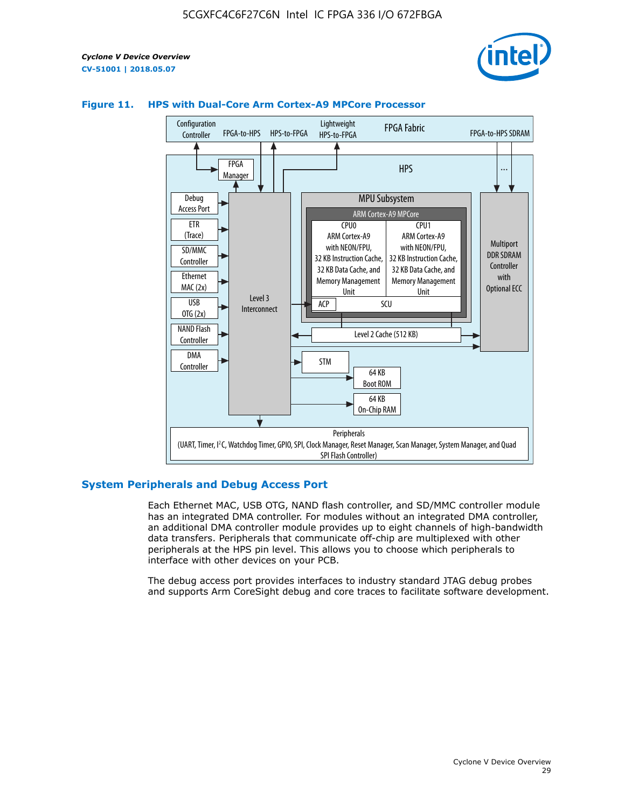



#### **Figure 11. HPS with Dual-Core Arm Cortex-A9 MPCore Processor**

#### **System Peripherals and Debug Access Port**

Each Ethernet MAC, USB OTG, NAND flash controller, and SD/MMC controller module has an integrated DMA controller. For modules without an integrated DMA controller, an additional DMA controller module provides up to eight channels of high-bandwidth data transfers. Peripherals that communicate off-chip are multiplexed with other peripherals at the HPS pin level. This allows you to choose which peripherals to interface with other devices on your PCB.

The debug access port provides interfaces to industry standard JTAG debug probes and supports Arm CoreSight debug and core traces to facilitate software development.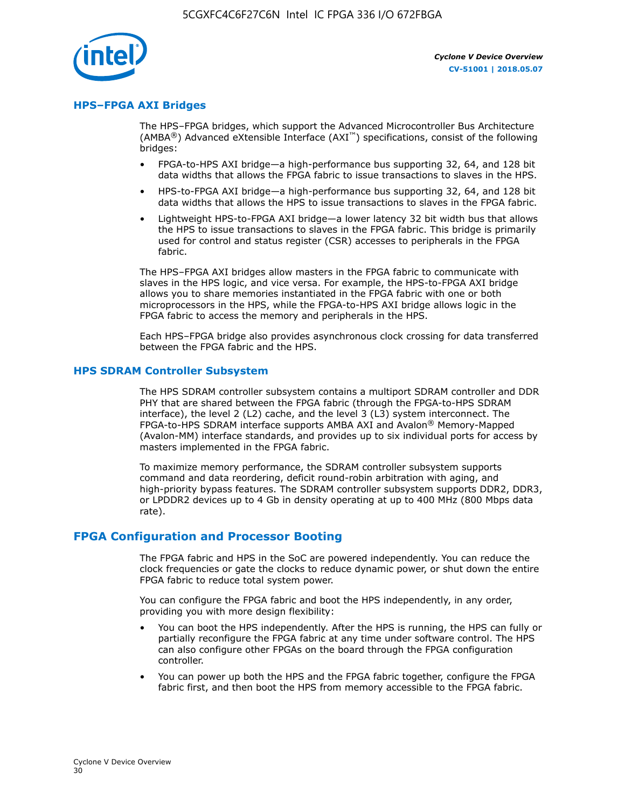

#### **HPS–FPGA AXI Bridges**

The HPS–FPGA bridges, which support the Advanced Microcontroller Bus Architecture (AMBA<sup>®</sup>) Advanced eXtensible Interface (AXI<sup>™</sup>) specifications, consist of the following bridges:

- FPGA-to-HPS AXI bridge—a high-performance bus supporting 32, 64, and 128 bit data widths that allows the FPGA fabric to issue transactions to slaves in the HPS.
- HPS-to-FPGA AXI bridge—a high-performance bus supporting 32, 64, and 128 bit data widths that allows the HPS to issue transactions to slaves in the FPGA fabric.
- Lightweight HPS-to-FPGA AXI bridge—a lower latency 32 bit width bus that allows the HPS to issue transactions to slaves in the FPGA fabric. This bridge is primarily used for control and status register (CSR) accesses to peripherals in the FPGA fabric.

The HPS–FPGA AXI bridges allow masters in the FPGA fabric to communicate with slaves in the HPS logic, and vice versa. For example, the HPS-to-FPGA AXI bridge allows you to share memories instantiated in the FPGA fabric with one or both microprocessors in the HPS, while the FPGA-to-HPS AXI bridge allows logic in the FPGA fabric to access the memory and peripherals in the HPS.

Each HPS–FPGA bridge also provides asynchronous clock crossing for data transferred between the FPGA fabric and the HPS.

#### **HPS SDRAM Controller Subsystem**

The HPS SDRAM controller subsystem contains a multiport SDRAM controller and DDR PHY that are shared between the FPGA fabric (through the FPGA-to-HPS SDRAM interface), the level 2 (L2) cache, and the level 3 (L3) system interconnect. The FPGA-to-HPS SDRAM interface supports AMBA AXI and Avalon® Memory-Mapped (Avalon-MM) interface standards, and provides up to six individual ports for access by masters implemented in the FPGA fabric.

To maximize memory performance, the SDRAM controller subsystem supports command and data reordering, deficit round-robin arbitration with aging, and high-priority bypass features. The SDRAM controller subsystem supports DDR2, DDR3, or LPDDR2 devices up to 4 Gb in density operating at up to 400 MHz (800 Mbps data rate).

#### **FPGA Configuration and Processor Booting**

The FPGA fabric and HPS in the SoC are powered independently. You can reduce the clock frequencies or gate the clocks to reduce dynamic power, or shut down the entire FPGA fabric to reduce total system power.

You can configure the FPGA fabric and boot the HPS independently, in any order, providing you with more design flexibility:

- You can boot the HPS independently. After the HPS is running, the HPS can fully or partially reconfigure the FPGA fabric at any time under software control. The HPS can also configure other FPGAs on the board through the FPGA configuration controller.
- You can power up both the HPS and the FPGA fabric together, configure the FPGA fabric first, and then boot the HPS from memory accessible to the FPGA fabric.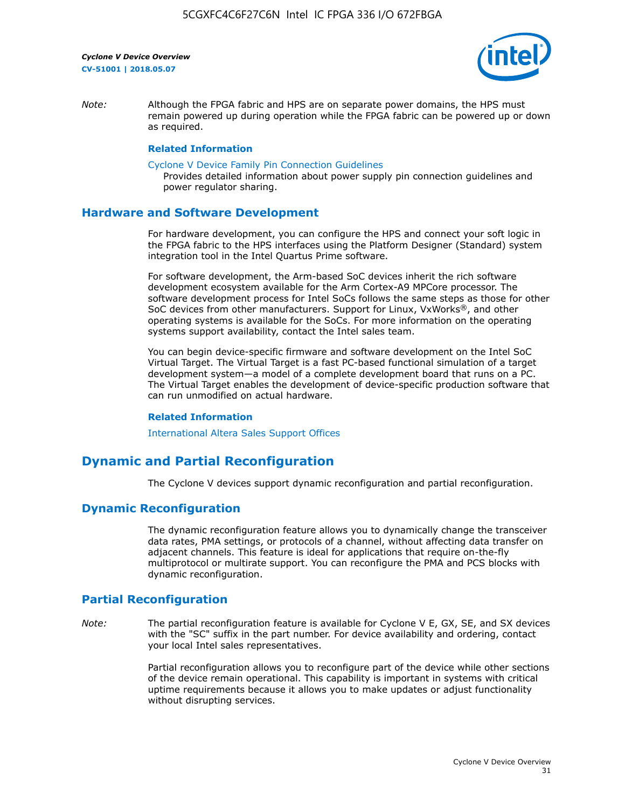

*Note:* Although the FPGA fabric and HPS are on separate power domains, the HPS must remain powered up during operation while the FPGA fabric can be powered up or down as required.

#### **Related Information**

[Cyclone V Device Family Pin Connection Guidelines](https://www.altera.com/content/dam/altera-www/global/en_US/pdfs/literature/dp/cyclone-v/pcg-01014.pdf)

Provides detailed information about power supply pin connection guidelines and power regulator sharing.

#### **Hardware and Software Development**

For hardware development, you can configure the HPS and connect your soft logic in the FPGA fabric to the HPS interfaces using the Platform Designer (Standard) system integration tool in the Intel Quartus Prime software.

For software development, the Arm-based SoC devices inherit the rich software development ecosystem available for the Arm Cortex-A9 MPCore processor. The software development process for Intel SoCs follows the same steps as those for other SoC devices from other manufacturers. Support for Linux, VxWorks®, and other operating systems is available for the SoCs. For more information on the operating systems support availability, contact the Intel sales team.

You can begin device-specific firmware and software development on the Intel SoC Virtual Target. The Virtual Target is a fast PC-based functional simulation of a target development system—a model of a complete development board that runs on a PC. The Virtual Target enables the development of device-specific production software that can run unmodified on actual hardware.

#### **Related Information**

[International Altera Sales Support Offices](https://www.altera.com/about/contact/contact/international-altera-sales-offices.html)

## **Dynamic and Partial Reconfiguration**

The Cyclone V devices support dynamic reconfiguration and partial reconfiguration.

#### **Dynamic Reconfiguration**

The dynamic reconfiguration feature allows you to dynamically change the transceiver data rates, PMA settings, or protocols of a channel, without affecting data transfer on adjacent channels. This feature is ideal for applications that require on-the-fly multiprotocol or multirate support. You can reconfigure the PMA and PCS blocks with dynamic reconfiguration.

# **Partial Reconfiguration**

*Note:* The partial reconfiguration feature is available for Cyclone V E, GX, SE, and SX devices with the "SC" suffix in the part number. For device availability and ordering, contact your local Intel sales representatives.

> Partial reconfiguration allows you to reconfigure part of the device while other sections of the device remain operational. This capability is important in systems with critical uptime requirements because it allows you to make updates or adjust functionality without disrupting services.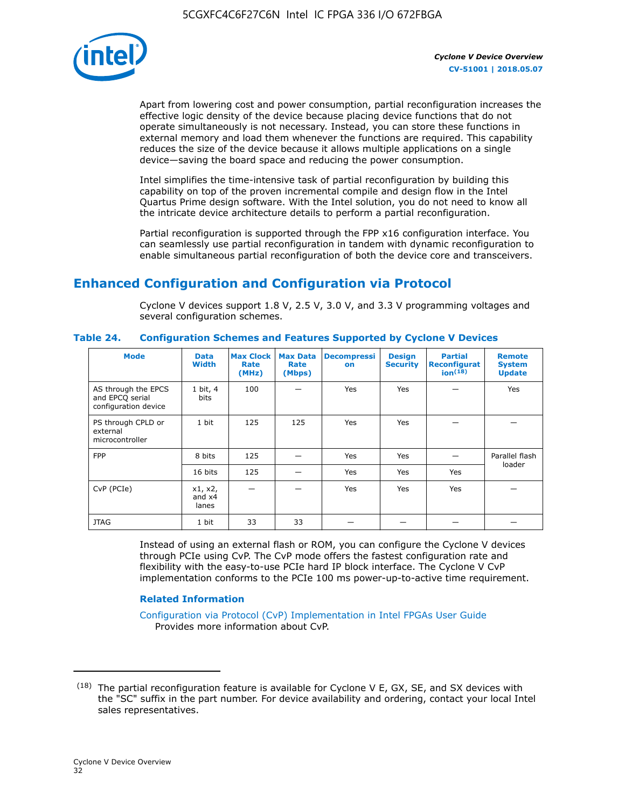

Apart from lowering cost and power consumption, partial reconfiguration increases the effective logic density of the device because placing device functions that do not operate simultaneously is not necessary. Instead, you can store these functions in external memory and load them whenever the functions are required. This capability reduces the size of the device because it allows multiple applications on a single device—saving the board space and reducing the power consumption.

Intel simplifies the time-intensive task of partial reconfiguration by building this capability on top of the proven incremental compile and design flow in the Intel Quartus Prime design software. With the Intel solution, you do not need to know all the intricate device architecture details to perform a partial reconfiguration.

Partial reconfiguration is supported through the FPP x16 configuration interface. You can seamlessly use partial reconfiguration in tandem with dynamic reconfiguration to enable simultaneous partial reconfiguration of both the device core and transceivers.

# **Enhanced Configuration and Configuration via Protocol**

Cyclone V devices support 1.8 V, 2.5 V, 3.0 V, and 3.3 V programming voltages and several configuration schemes.

| <b>Mode</b>                                                    | <b>Data</b><br>Width         | Max Clock  <br>Rate<br>(MHz) | <b>Max Data</b><br>Rate<br>(Mbps) | <b>Decompressi</b><br>on | <b>Design</b><br><b>Security</b> | <b>Partial</b><br><b>Reconfigurat</b><br>ion <sup>(18)</sup> | <b>Remote</b><br><b>System</b><br><b>Update</b> |
|----------------------------------------------------------------|------------------------------|------------------------------|-----------------------------------|--------------------------|----------------------------------|--------------------------------------------------------------|-------------------------------------------------|
| AS through the EPCS<br>and EPCQ serial<br>configuration device | 1 bit, 4<br>bits             | 100                          |                                   | Yes                      | <b>Yes</b>                       |                                                              | Yes                                             |
| PS through CPLD or<br>external<br>microcontroller              | 1 bit                        | 125                          | 125                               | Yes                      | <b>Yes</b>                       |                                                              |                                                 |
| <b>FPP</b>                                                     | 8 bits                       | 125                          |                                   | Yes                      | <b>Yes</b>                       |                                                              | Parallel flash                                  |
|                                                                | 16 bits                      | 125                          |                                   | Yes                      | <b>Yes</b>                       | Yes                                                          | loader                                          |
| CvP (PCIe)                                                     | x1, x2,<br>and $x4$<br>lanes |                              |                                   | Yes                      | <b>Yes</b>                       | Yes                                                          |                                                 |
| <b>JTAG</b>                                                    | 1 bit                        | 33                           | 33                                |                          |                                  |                                                              |                                                 |

**Table 24. Configuration Schemes and Features Supported by Cyclone V Devices**

Instead of using an external flash or ROM, you can configure the Cyclone V devices through PCIe using CvP. The CvP mode offers the fastest configuration rate and flexibility with the easy-to-use PCIe hard IP block interface. The Cyclone V CvP implementation conforms to the PCIe 100 ms power-up-to-active time requirement.

#### **Related Information**

[Configuration via Protocol \(CvP\) Implementation in Intel FPGAs User Guide](https://www.altera.com/documentation/nik1412546950394.html#nik1412546833714) Provides more information about CvP.

 $(18)$  The partial reconfiguration feature is available for Cyclone V E, GX, SE, and SX devices with the "SC" suffix in the part number. For device availability and ordering, contact your local Intel sales representatives.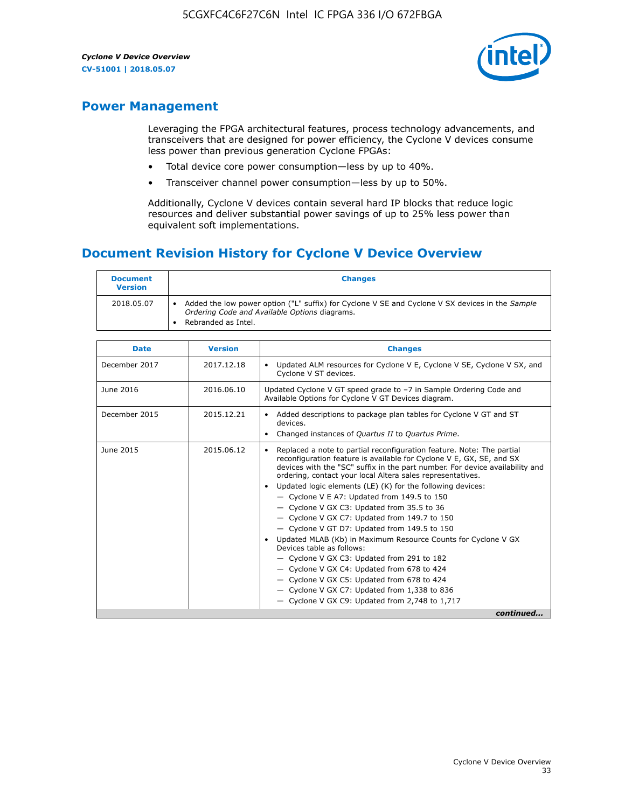

# **Power Management**

Leveraging the FPGA architectural features, process technology advancements, and transceivers that are designed for power efficiency, the Cyclone V devices consume less power than previous generation Cyclone FPGAs:

- Total device core power consumption—less by up to 40%.
- Transceiver channel power consumption—less by up to 50%.

Additionally, Cyclone V devices contain several hard IP blocks that reduce logic resources and deliver substantial power savings of up to 25% less power than equivalent soft implementations.

# **Document Revision History for Cyclone V Device Overview**

| <b>Document</b><br><b>Version</b> | <b>Changes</b>                                                                                                                                                          |
|-----------------------------------|-------------------------------------------------------------------------------------------------------------------------------------------------------------------------|
| 2018.05.07                        | Added the low power option ("L" suffix) for Cyclone V SE and Cyclone V SX devices in the Sample<br>Ordering Code and Available Options diagrams.<br>Rebranded as Intel. |

| <b>Date</b>   | <b>Version</b> | <b>Changes</b>                                                                                                                                                                                                                                                                                                                                                                                                                                                                                                                                                                                                                                                                                                                                                                                                                                                                                                    |
|---------------|----------------|-------------------------------------------------------------------------------------------------------------------------------------------------------------------------------------------------------------------------------------------------------------------------------------------------------------------------------------------------------------------------------------------------------------------------------------------------------------------------------------------------------------------------------------------------------------------------------------------------------------------------------------------------------------------------------------------------------------------------------------------------------------------------------------------------------------------------------------------------------------------------------------------------------------------|
| December 2017 | 2017.12.18     | Updated ALM resources for Cyclone V E, Cyclone V SE, Cyclone V SX, and<br>Cyclone V ST devices.                                                                                                                                                                                                                                                                                                                                                                                                                                                                                                                                                                                                                                                                                                                                                                                                                   |
| June 2016     | 2016.06.10     | Updated Cyclone V GT speed grade to -7 in Sample Ordering Code and<br>Available Options for Cyclone V GT Devices diagram.                                                                                                                                                                                                                                                                                                                                                                                                                                                                                                                                                                                                                                                                                                                                                                                         |
| December 2015 | 2015.12.21     | Added descriptions to package plan tables for Cyclone V GT and ST<br>devices.<br>Changed instances of Quartus II to Quartus Prime.<br>$\bullet$                                                                                                                                                                                                                                                                                                                                                                                                                                                                                                                                                                                                                                                                                                                                                                   |
| June 2015     | 2015.06.12     | Replaced a note to partial reconfiguration feature. Note: The partial<br>reconfiguration feature is available for Cyclone V E, GX, SE, and SX<br>devices with the "SC" suffix in the part number. For device availability and<br>ordering, contact your local Altera sales representatives.<br>Updated logic elements (LE) (K) for the following devices:<br>$\bullet$<br>$-$ Cyclone V E A7: Updated from 149.5 to 150<br>- Cyclone V GX C3: Updated from 35.5 to 36<br>- Cyclone V GX C7: Updated from 149.7 to 150<br>- Cyclone V GT D7: Updated from 149.5 to 150<br>Updated MLAB (Kb) in Maximum Resource Counts for Cyclone V GX<br>Devices table as follows:<br>- Cyclone V GX C3: Updated from 291 to 182<br>- Cyclone V GX C4: Updated from 678 to 424<br>- Cyclone V GX C5: Updated from 678 to 424<br>- Cyclone V GX C7: Updated from 1,338 to 836<br>$-$ Cyclone V GX C9: Updated from 2,748 to 1,717 |
|               |                | continued                                                                                                                                                                                                                                                                                                                                                                                                                                                                                                                                                                                                                                                                                                                                                                                                                                                                                                         |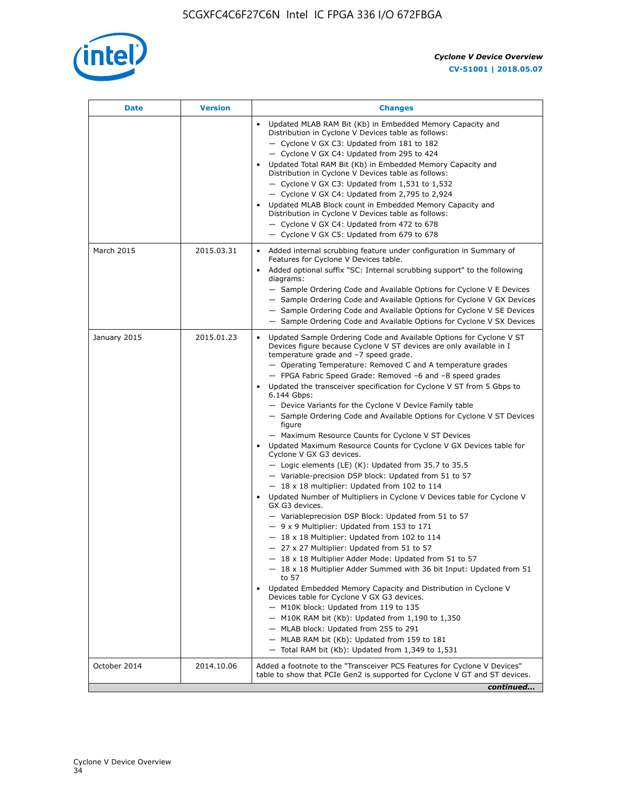

| <b>Date</b>  | <b>Version</b> | <b>Changes</b>                                                                                                                                                                                                                                                                                                                                                                                                                                                                                                                                                                                                                                                                                                                                                                                                                                                                                                                                                                                                                                                                                                                                                                                                                                                                                                                                                                                                                                                                                                                                                                                                                                                                                                |
|--------------|----------------|---------------------------------------------------------------------------------------------------------------------------------------------------------------------------------------------------------------------------------------------------------------------------------------------------------------------------------------------------------------------------------------------------------------------------------------------------------------------------------------------------------------------------------------------------------------------------------------------------------------------------------------------------------------------------------------------------------------------------------------------------------------------------------------------------------------------------------------------------------------------------------------------------------------------------------------------------------------------------------------------------------------------------------------------------------------------------------------------------------------------------------------------------------------------------------------------------------------------------------------------------------------------------------------------------------------------------------------------------------------------------------------------------------------------------------------------------------------------------------------------------------------------------------------------------------------------------------------------------------------------------------------------------------------------------------------------------------------|
|              |                | Updated MLAB RAM Bit (Kb) in Embedded Memory Capacity and<br>Distribution in Cyclone V Devices table as follows:<br>- Cyclone V GX C3: Updated from 181 to 182<br>- Cyclone V GX C4: Updated from 295 to 424<br>Updated Total RAM Bit (Kb) in Embedded Memory Capacity and<br>Distribution in Cyclone V Devices table as follows:<br>- Cyclone V GX C3: Updated from $1,531$ to $1,532$<br>- Cyclone V GX C4: Updated from 2,795 to 2,924<br>Updated MLAB Block count in Embedded Memory Capacity and<br>Distribution in Cyclone V Devices table as follows:<br>- Cyclone V GX C4: Updated from 472 to 678<br>- Cyclone V GX C5: Updated from 679 to 678                                                                                                                                                                                                                                                                                                                                                                                                                                                                                                                                                                                                                                                                                                                                                                                                                                                                                                                                                                                                                                                      |
| March 2015   | 2015.03.31     | Added internal scrubbing feature under configuration in Summary of<br>$\bullet$<br>Features for Cyclone V Devices table.<br>Added optional suffix "SC: Internal scrubbing support" to the following<br>diagrams:<br>- Sample Ordering Code and Available Options for Cyclone V E Devices<br>- Sample Ordering Code and Available Options for Cyclone V GX Devices<br>- Sample Ordering Code and Available Options for Cyclone V SE Devices<br>- Sample Ordering Code and Available Options for Cyclone V SX Devices                                                                                                                                                                                                                                                                                                                                                                                                                                                                                                                                                                                                                                                                                                                                                                                                                                                                                                                                                                                                                                                                                                                                                                                           |
| January 2015 | 2015.01.23     | Updated Sample Ordering Code and Available Options for Cyclone V ST<br>Devices figure because Cyclone V ST devices are only available in I<br>temperature grade and -7 speed grade.<br>- Operating Temperature: Removed C and A temperature grades<br>- FPGA Fabric Speed Grade: Removed -6 and -8 speed grades<br>Updated the transceiver specification for Cyclone V ST from 5 Gbps to<br>6.144 Gbps:<br>- Device Variants for the Cyclone V Device Family table<br>- Sample Ordering Code and Available Options for Cyclone V ST Devices<br>figure<br>- Maximum Resource Counts for Cyclone V ST Devices<br>Updated Maximum Resource Counts for Cyclone V GX Devices table for<br>Cyclone V GX G3 devices.<br>$-$ Logic elements (LE) (K): Updated from 35.7 to 35.5<br>- Variable-precision DSP block: Updated from 51 to 57<br>$-18 \times 18$ multiplier: Updated from 102 to 114<br>Updated Number of Multipliers in Cyclone V Devices table for Cyclone V<br>GX G3 devices.<br>- Variableprecision DSP Block: Updated from 51 to 57<br>$-9x9$ Multiplier: Updated from 153 to 171<br>$-18 \times 18$ Multiplier: Updated from 102 to 114<br>- 27 x 27 Multiplier: Updated from 51 to 57<br>- 18 x 18 Multiplier Adder Mode: Updated from 51 to 57<br>$-18 \times 18$ Multiplier Adder Summed with 36 bit Input: Updated from 51<br>to 57<br>Updated Embedded Memory Capacity and Distribution in Cyclone V<br>Devices table for Cyclone V GX G3 devices.<br>- M10K block: Updated from 119 to 135<br>- M10K RAM bit (Kb): Updated from 1,190 to 1,350<br>- MLAB block: Updated from 255 to 291<br>- MLAB RAM bit (Kb): Updated from 159 to 181<br>$-$ Total RAM bit (Kb): Updated from 1,349 to 1,531 |
| October 2014 | 2014.10.06     | Added a footnote to the "Transceiver PCS Features for Cyclone V Devices"<br>table to show that PCIe Gen2 is supported for Cyclone V GT and ST devices.                                                                                                                                                                                                                                                                                                                                                                                                                                                                                                                                                                                                                                                                                                                                                                                                                                                                                                                                                                                                                                                                                                                                                                                                                                                                                                                                                                                                                                                                                                                                                        |
|              |                | continued                                                                                                                                                                                                                                                                                                                                                                                                                                                                                                                                                                                                                                                                                                                                                                                                                                                                                                                                                                                                                                                                                                                                                                                                                                                                                                                                                                                                                                                                                                                                                                                                                                                                                                     |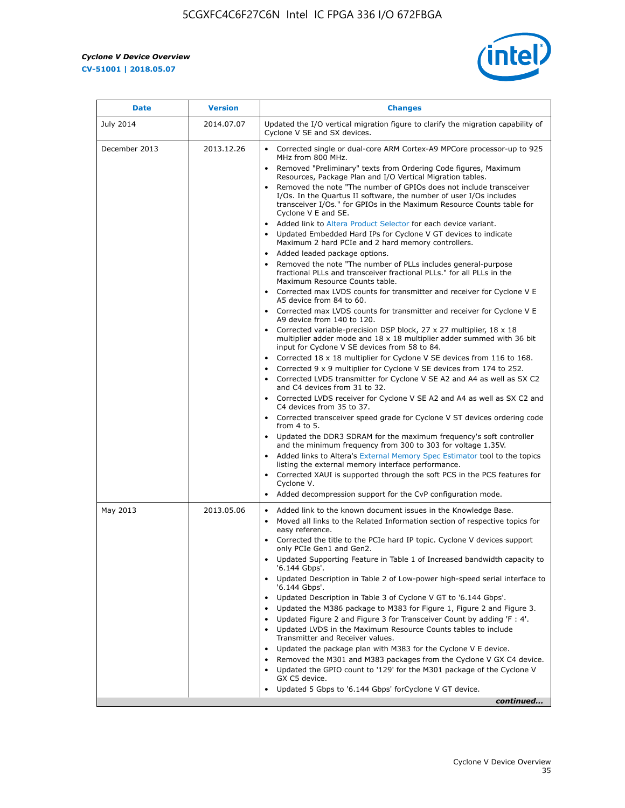r



| <b>Date</b>   | <b>Version</b> | <b>Changes</b>                                                                                                                                                                                                                           |
|---------------|----------------|------------------------------------------------------------------------------------------------------------------------------------------------------------------------------------------------------------------------------------------|
| July 2014     | 2014.07.07     | Updated the I/O vertical migration figure to clarify the migration capability of<br>Cyclone V SE and SX devices.                                                                                                                         |
| December 2013 | 2013.12.26     | Corrected single or dual-core ARM Cortex-A9 MPCore processor-up to 925<br>MHz from 800 MHz.                                                                                                                                              |
|               |                | Removed "Preliminary" texts from Ordering Code figures, Maximum<br>Resources, Package Plan and I/O Vertical Migration tables.                                                                                                            |
|               |                | Removed the note "The number of GPIOs does not include transceiver<br>I/Os. In the Quartus II software, the number of user I/Os includes<br>transceiver I/Os." for GPIOs in the Maximum Resource Counts table for<br>Cyclone V E and SE. |
|               |                | Added link to Altera Product Selector for each device variant.<br>Updated Embedded Hard IPs for Cyclone V GT devices to indicate<br>Maximum 2 hard PCIe and 2 hard memory controllers.                                                   |
|               |                | • Added leaded package options.                                                                                                                                                                                                          |
|               |                | Removed the note "The number of PLLs includes general-purpose<br>fractional PLLs and transceiver fractional PLLs." for all PLLs in the<br>Maximum Resource Counts table.                                                                 |
|               |                | • Corrected max LVDS counts for transmitter and receiver for Cyclone V E<br>A5 device from 84 to 60.                                                                                                                                     |
|               |                | • Corrected max LVDS counts for transmitter and receiver for Cyclone V E<br>A9 device from 140 to 120.                                                                                                                                   |
|               |                | Corrected variable-precision DSP block, 27 x 27 multiplier, 18 x 18<br>multiplier adder mode and 18 x 18 multiplier adder summed with 36 bit<br>input for Cyclone V SE devices from 58 to 84.                                            |
|               |                | Corrected 18 x 18 multiplier for Cyclone V SE devices from 116 to 168.                                                                                                                                                                   |
|               |                | Corrected 9 x 9 multiplier for Cyclone V SE devices from 174 to 252.                                                                                                                                                                     |
|               |                | • Corrected LVDS transmitter for Cyclone V SE A2 and A4 as well as SX C2<br>and C4 devices from 31 to 32.                                                                                                                                |
|               |                | • Corrected LVDS receiver for Cyclone V SE A2 and A4 as well as SX C2 and<br>C4 devices from 35 to 37.                                                                                                                                   |
|               |                | • Corrected transceiver speed grade for Cyclone V ST devices ordering code<br>from 4 to 5.                                                                                                                                               |
|               |                | • Updated the DDR3 SDRAM for the maximum frequency's soft controller<br>and the minimum frequency from 300 to 303 for voltage 1.35V.                                                                                                     |
|               |                | Added links to Altera's External Memory Spec Estimator tool to the topics<br>listing the external memory interface performance.                                                                                                          |
|               |                | • Corrected XAUI is supported through the soft PCS in the PCS features for<br>Cyclone V.                                                                                                                                                 |
|               |                | Added decompression support for the CvP configuration mode.                                                                                                                                                                              |
| May 2013      | 2013.05.06     | Added link to the known document issues in the Knowledge Base.<br>$\bullet$<br>Moved all links to the Related Information section of respective topics for<br>$\bullet$<br>easy reference.                                               |
|               |                | • Corrected the title to the PCIe hard IP topic. Cyclone V devices support<br>only PCIe Gen1 and Gen2.                                                                                                                                   |
|               |                | • Updated Supporting Feature in Table 1 of Increased bandwidth capacity to<br>'6.144 Gbps'.                                                                                                                                              |
|               |                | Updated Description in Table 2 of Low-power high-speed serial interface to<br>'6.144 Gbps'.                                                                                                                                              |
|               |                | Updated Description in Table 3 of Cyclone V GT to '6.144 Gbps'.                                                                                                                                                                          |
|               |                | Updated the M386 package to M383 for Figure 1, Figure 2 and Figure 3.<br>$\bullet$                                                                                                                                                       |
|               |                | Updated Figure 2 and Figure 3 for Transceiver Count by adding 'F : 4'.<br>$\bullet$                                                                                                                                                      |
|               |                | Updated LVDS in the Maximum Resource Counts tables to include<br>Transmitter and Receiver values.                                                                                                                                        |
|               |                | Updated the package plan with M383 for the Cyclone V E device.                                                                                                                                                                           |
|               |                | Removed the M301 and M383 packages from the Cyclone V GX C4 device.<br>Updated the GPIO count to '129' for the M301 package of the Cyclone V                                                                                             |
|               |                | GX C5 device.                                                                                                                                                                                                                            |
|               |                | Updated 5 Gbps to '6.144 Gbps' for Cyclone V GT device.                                                                                                                                                                                  |
|               |                | continued                                                                                                                                                                                                                                |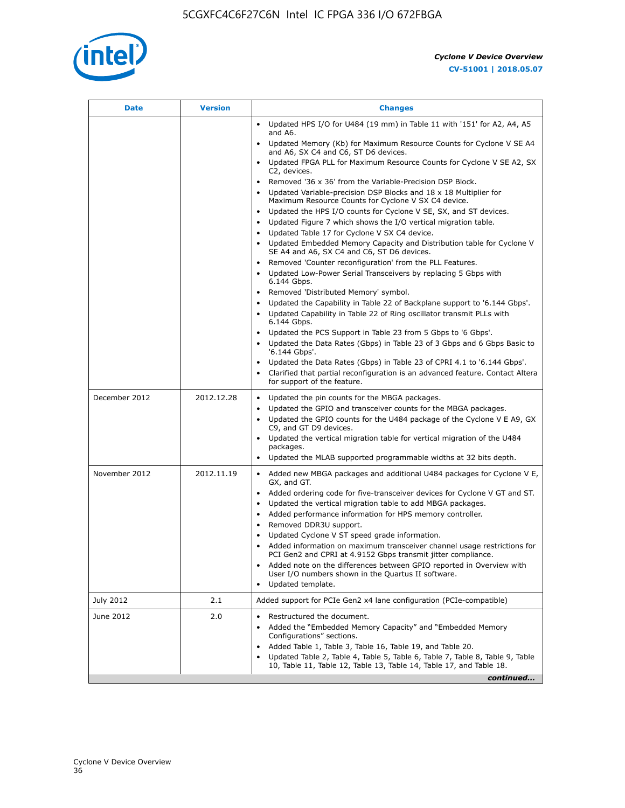

| <b>Date</b>   | <b>Version</b> | <b>Changes</b>                                                                                                                                                                                                                                                                                                                                                                                                                                                                                                                                                                                                                  |
|---------------|----------------|---------------------------------------------------------------------------------------------------------------------------------------------------------------------------------------------------------------------------------------------------------------------------------------------------------------------------------------------------------------------------------------------------------------------------------------------------------------------------------------------------------------------------------------------------------------------------------------------------------------------------------|
|               |                | Updated HPS I/O for U484 (19 mm) in Table 11 with '151' for A2, A4, A5<br>and A6.                                                                                                                                                                                                                                                                                                                                                                                                                                                                                                                                               |
|               |                | Updated Memory (Kb) for Maximum Resource Counts for Cyclone V SE A4<br>and A6, SX C4 and C6, ST D6 devices.                                                                                                                                                                                                                                                                                                                                                                                                                                                                                                                     |
|               |                | Updated FPGA PLL for Maximum Resource Counts for Cyclone V SE A2, SX<br>C2, devices.                                                                                                                                                                                                                                                                                                                                                                                                                                                                                                                                            |
|               |                | Removed '36 x 36' from the Variable-Precision DSP Block.<br>Updated Variable-precision DSP Blocks and $18 \times 18$ Multiplier for<br>Maximum Resource Counts for Cyclone V SX C4 device.                                                                                                                                                                                                                                                                                                                                                                                                                                      |
|               |                | Updated the HPS I/O counts for Cyclone V SE, SX, and ST devices.<br>Updated Figure 7 which shows the I/O vertical migration table.<br>Updated Table 17 for Cyclone V SX C4 device.<br>$\bullet$                                                                                                                                                                                                                                                                                                                                                                                                                                 |
|               |                | • Updated Embedded Memory Capacity and Distribution table for Cyclone V<br>SE A4 and A6, SX C4 and C6, ST D6 devices.                                                                                                                                                                                                                                                                                                                                                                                                                                                                                                           |
|               |                | Removed 'Counter reconfiguration' from the PLL Features.<br>$\bullet$<br>Updated Low-Power Serial Transceivers by replacing 5 Gbps with<br>6.144 Gbps.                                                                                                                                                                                                                                                                                                                                                                                                                                                                          |
|               |                | Removed 'Distributed Memory' symbol.<br>Updated the Capability in Table 22 of Backplane support to '6.144 Gbps'.<br>Updated Capability in Table 22 of Ring oscillator transmit PLLs with                                                                                                                                                                                                                                                                                                                                                                                                                                        |
|               |                | 6.144 Gbps.<br>Updated the PCS Support in Table 23 from 5 Gbps to '6 Gbps'.<br>Updated the Data Rates (Gbps) in Table 23 of 3 Gbps and 6 Gbps Basic to<br>$\bullet$<br>'6.144 Gbps'.                                                                                                                                                                                                                                                                                                                                                                                                                                            |
|               |                | Updated the Data Rates (Gbps) in Table 23 of CPRI 4.1 to '6.144 Gbps'.<br>Clarified that partial reconfiguration is an advanced feature. Contact Altera<br>for support of the feature.                                                                                                                                                                                                                                                                                                                                                                                                                                          |
| December 2012 | 2012.12.28     | Updated the pin counts for the MBGA packages.<br>$\bullet$<br>Updated the GPIO and transceiver counts for the MBGA packages.<br>$\bullet$<br>Updated the GPIO counts for the U484 package of the Cyclone V E A9, GX<br>C9, and GT D9 devices.<br>Updated the vertical migration table for vertical migration of the U484                                                                                                                                                                                                                                                                                                        |
|               |                | packages.<br>Updated the MLAB supported programmable widths at 32 bits depth.                                                                                                                                                                                                                                                                                                                                                                                                                                                                                                                                                   |
| November 2012 | 2012.11.19     | • Added new MBGA packages and additional U484 packages for Cyclone V E,<br>GX, and GT.<br>Added ordering code for five-transceiver devices for Cyclone V GT and ST.<br>$\bullet$<br>Updated the vertical migration table to add MBGA packages.<br>٠<br>Added performance information for HPS memory controller.<br>٠<br>Removed DDR3U support.<br>$\bullet$<br>Updated Cyclone V ST speed grade information.<br>Added information on maximum transceiver channel usage restrictions for<br>PCI Gen2 and CPRI at 4.9152 Gbps transmit jitter compliance.<br>Added note on the differences between GPIO reported in Overview with |
|               |                | User I/O numbers shown in the Quartus II software.<br>Updated template.                                                                                                                                                                                                                                                                                                                                                                                                                                                                                                                                                         |
| July 2012     | 2.1            | Added support for PCIe Gen2 x4 lane configuration (PCIe-compatible)                                                                                                                                                                                                                                                                                                                                                                                                                                                                                                                                                             |
| June 2012     | 2.0            | Restructured the document.<br>Added the "Embedded Memory Capacity" and "Embedded Memory<br>Configurations" sections.<br>Added Table 1, Table 3, Table 16, Table 19, and Table 20.<br>$\bullet$<br>Updated Table 2, Table 4, Table 5, Table 6, Table 7, Table 8, Table 9, Table                                                                                                                                                                                                                                                                                                                                                  |
|               |                | 10, Table 11, Table 12, Table 13, Table 14, Table 17, and Table 18.<br>continued                                                                                                                                                                                                                                                                                                                                                                                                                                                                                                                                                |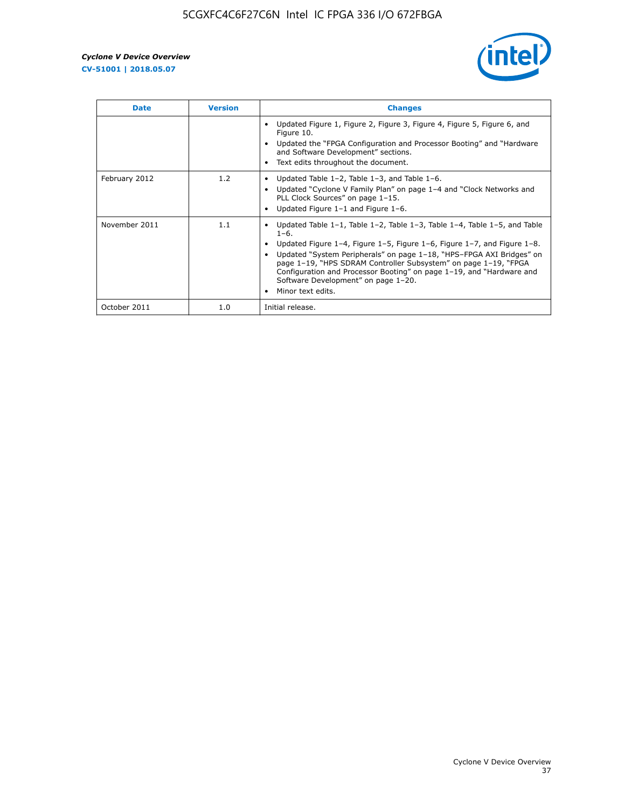

| <b>Date</b>   | <b>Version</b> | <b>Changes</b>                                                                                                                                                                                                                                                                                                                                                                                                                                                 |
|---------------|----------------|----------------------------------------------------------------------------------------------------------------------------------------------------------------------------------------------------------------------------------------------------------------------------------------------------------------------------------------------------------------------------------------------------------------------------------------------------------------|
|               |                | Updated Figure 1, Figure 2, Figure 3, Figure 4, Figure 5, Figure 6, and<br>Figure 10.<br>Updated the "FPGA Configuration and Processor Booting" and "Hardware"<br>and Software Development" sections.<br>Text edits throughout the document.                                                                                                                                                                                                                   |
| February 2012 | 1.2            | Updated Table $1-2$ , Table $1-3$ , and Table $1-6$ .<br>Updated "Cyclone V Family Plan" on page 1-4 and "Clock Networks and<br>PLL Clock Sources" on page 1-15.<br>Updated Figure 1-1 and Figure 1-6.                                                                                                                                                                                                                                                         |
| November 2011 | 1.1            | Updated Table $1-1$ , Table $1-2$ , Table $1-3$ , Table $1-4$ , Table $1-5$ , and Table<br>$1 - 6$ .<br>Updated Figure 1-4, Figure 1-5, Figure 1-6, Figure 1-7, and Figure 1-8.<br>Updated "System Peripherals" on page 1-18, "HPS-FPGA AXI Bridges" on<br>page 1-19, "HPS SDRAM Controller Subsystem" on page 1-19, "FPGA<br>Configuration and Processor Booting" on page 1-19, and "Hardware and<br>Software Development" on page 1-20.<br>Minor text edits. |
| October 2011  | 1.0            | Initial release.                                                                                                                                                                                                                                                                                                                                                                                                                                               |